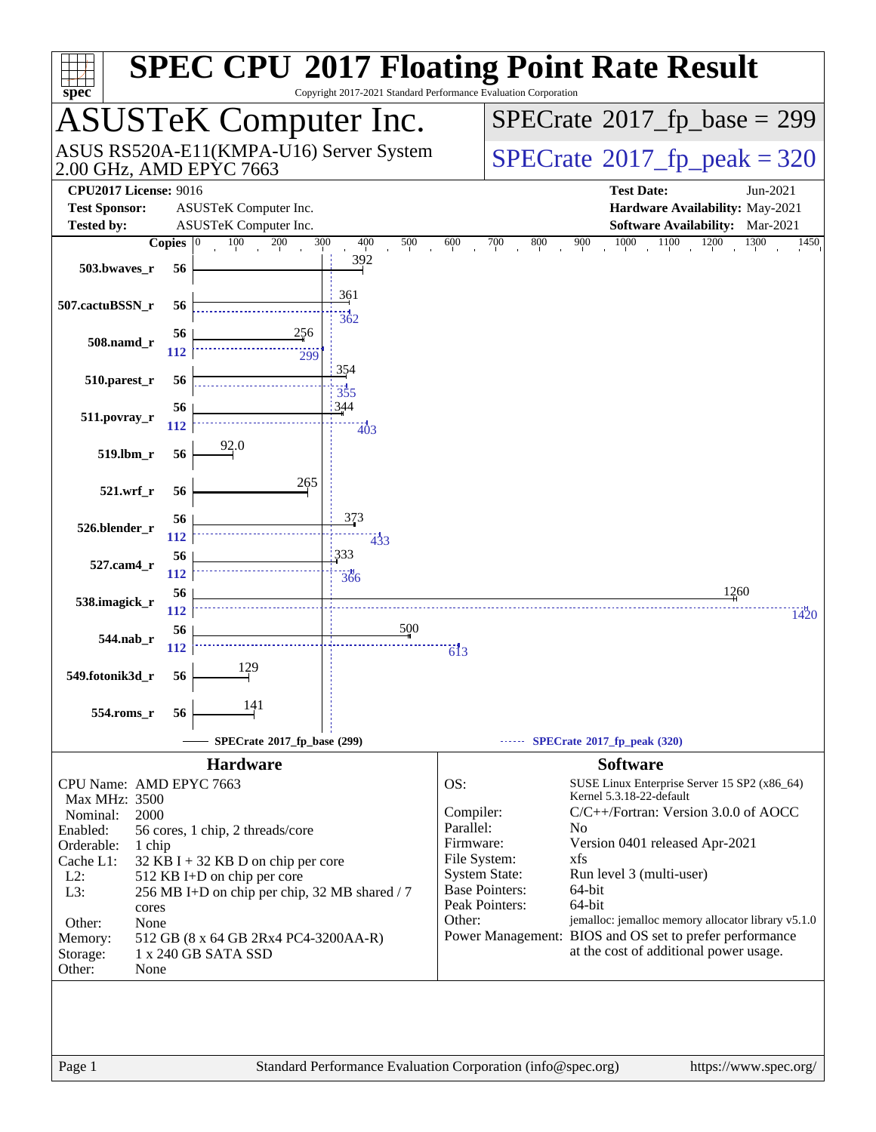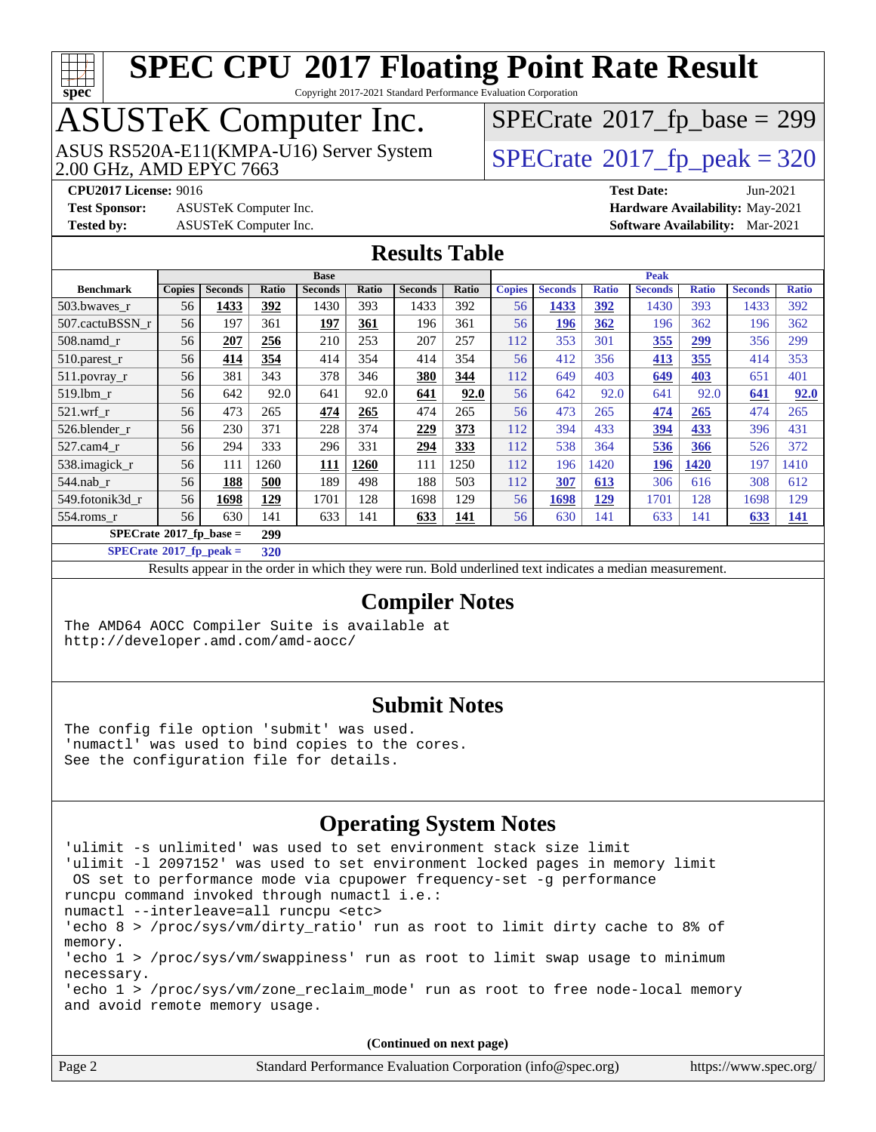

Copyright 2017-2021 Standard Performance Evaluation Corporation

## ASUSTeK Computer Inc.

2.00 GHz, AMD EPYC 7663 ASUS RS520A-E11(KMPA-U16) Server System  $\sqrt{\text{SPECrate}^{\otimes}2017\_fp\_peak} = 320$  $\sqrt{\text{SPECrate}^{\otimes}2017\_fp\_peak} = 320$  $\sqrt{\text{SPECrate}^{\otimes}2017\_fp\_peak} = 320$ 

 $SPECrate$ <sup>®</sup>[2017\\_fp\\_base =](http://www.spec.org/auto/cpu2017/Docs/result-fields.html#SPECrate2017fpbase) 299

**[Test Sponsor:](http://www.spec.org/auto/cpu2017/Docs/result-fields.html#TestSponsor)** ASUSTeK Computer Inc. **[Hardware Availability:](http://www.spec.org/auto/cpu2017/Docs/result-fields.html#HardwareAvailability)** May-2021

**[CPU2017 License:](http://www.spec.org/auto/cpu2017/Docs/result-fields.html#CPU2017License)** 9016 **[Test Date:](http://www.spec.org/auto/cpu2017/Docs/result-fields.html#TestDate)** Jun-2021

**[Tested by:](http://www.spec.org/auto/cpu2017/Docs/result-fields.html#Testedby)** ASUSTeK Computer Inc. **[Software Availability:](http://www.spec.org/auto/cpu2017/Docs/result-fields.html#SoftwareAvailability)** Mar-2021

#### **[Results Table](http://www.spec.org/auto/cpu2017/Docs/result-fields.html#ResultsTable)**

|                                         | <b>Base</b>   |                |            |                | Peak  |                |       |               |                |              |                |              |                |              |
|-----------------------------------------|---------------|----------------|------------|----------------|-------|----------------|-------|---------------|----------------|--------------|----------------|--------------|----------------|--------------|
| <b>Benchmark</b>                        | <b>Copies</b> | <b>Seconds</b> | Ratio      | <b>Seconds</b> | Ratio | <b>Seconds</b> | Ratio | <b>Copies</b> | <b>Seconds</b> | <b>Ratio</b> | <b>Seconds</b> | <b>Ratio</b> | <b>Seconds</b> | <b>Ratio</b> |
| 503.bwaves_r                            | 56            | 1433           | 392        | 1430           | 393   | 1433           | 392   | 56            | 1433           | 392          | 1430           | 393          | 1433           | 392          |
| 507.cactuBSSN r                         | 56            | 197            | 361        | 197            | 361   | 196            | 361   | 56            | 196            | 362          | 196            | 362          | 196            | 362          |
| $508$ .namd $r$                         | 56            | 207            | 256        | 210            | 253   | 207            | 257   | 112           | 353            | 301          | 355            | <u>299</u>   | 356            | 299          |
| 510.parest_r                            | 56            | 414            | 354        | 414            | 354   | 414            | 354   | 56            | 412            | 356          | 413            | 355          | 414            | 353          |
| $511.$ povray_r                         | 56            | 381            | 343        | 378            | 346   | 380            | 344   | 112           | 649            | 403          | 649            | 403          | 651            | 401          |
| 519.1bm r                               | 56            | 642            | 92.0       | 641            | 92.0  | 641            | 92.0  | 56            | 642            | 92.0         | 641            | 92.0         | 641            | 92.0         |
| $521$ .wrf r                            | 56            | 473            | 265        | 474            | 265   | 474            | 265   | 56            | 473            | 265          | 474            | 265          | 474            | 265          |
| 526.blender r                           | 56            | 230            | 371        | 228            | 374   | 229            | 373   | 112           | 394            | 433          | 394            | 433          | 396            | 431          |
| 527.cam4 r                              | 56            | 294            | 333        | 296            | 331   | 294            | 333   | 112           | 538            | 364          | 536            | 366          | 526            | 372          |
| 538.imagick_r                           | 56            | 111            | 1260       | 111            | 1260  | 111            | 1250  | 112           | 196            | 1420         | 196            | 1420         | 197            | 1410         |
| 544.nab r                               | 56            | 188            | 500        | 189            | 498   | 188            | 503   | 112           | 307            | 613          | 306            | 616          | 308            | 612          |
| 549.fotonik3d r                         | 56            | 1698           | <u>129</u> | 1701           | 128   | 1698           | 129   | 56            | 1698           | <u>129</u>   | 1701           | 128          | 1698           | 129          |
| $554$ .roms $r$                         | 56            | 630            | 141        | 633            | 141   | 633            | 141   | 56            | 630            | 141          | 633            | 141          | <u>633</u>     | <u> 141</u>  |
| $SPECrate^{\circ}2017$ fp base =<br>299 |               |                |            |                |       |                |       |               |                |              |                |              |                |              |
| $SPECrate*2017_fp\_peak =$              |               |                | 320        |                |       |                |       |               |                |              |                |              |                |              |

Results appear in the [order in which they were run](http://www.spec.org/auto/cpu2017/Docs/result-fields.html#RunOrder). Bold underlined text [indicates a median measurement.](http://www.spec.org/auto/cpu2017/Docs/result-fields.html#Median)

#### **[Compiler Notes](http://www.spec.org/auto/cpu2017/Docs/result-fields.html#CompilerNotes)**

The AMD64 AOCC Compiler Suite is available at <http://developer.amd.com/amd-aocc/>

#### **[Submit Notes](http://www.spec.org/auto/cpu2017/Docs/result-fields.html#SubmitNotes)**

The config file option 'submit' was used. 'numactl' was used to bind copies to the cores. See the configuration file for details.

#### **[Operating System Notes](http://www.spec.org/auto/cpu2017/Docs/result-fields.html#OperatingSystemNotes)**

```
'ulimit -s unlimited' was used to set environment stack size limit
'ulimit -l 2097152' was used to set environment locked pages in memory limit
  OS set to performance mode via cpupower frequency-set -g performance
runcpu command invoked through numactl i.e.:
numactl --interleave=all runcpu <etc>
'echo 8 > /proc/sys/vm/dirty_ratio' run as root to limit dirty cache to 8% of
memory.
'echo 1 > /proc/sys/vm/swappiness' run as root to limit swap usage to minimum
necessary.
'echo 1 > /proc/sys/vm/zone_reclaim_mode' run as root to free node-local memory
and avoid remote memory usage.
```

| Page 2 | Standard Performance Evaluation Corporation (info@spec.org) | https://www.spec.org/ |
|--------|-------------------------------------------------------------|-----------------------|
|--------|-------------------------------------------------------------|-----------------------|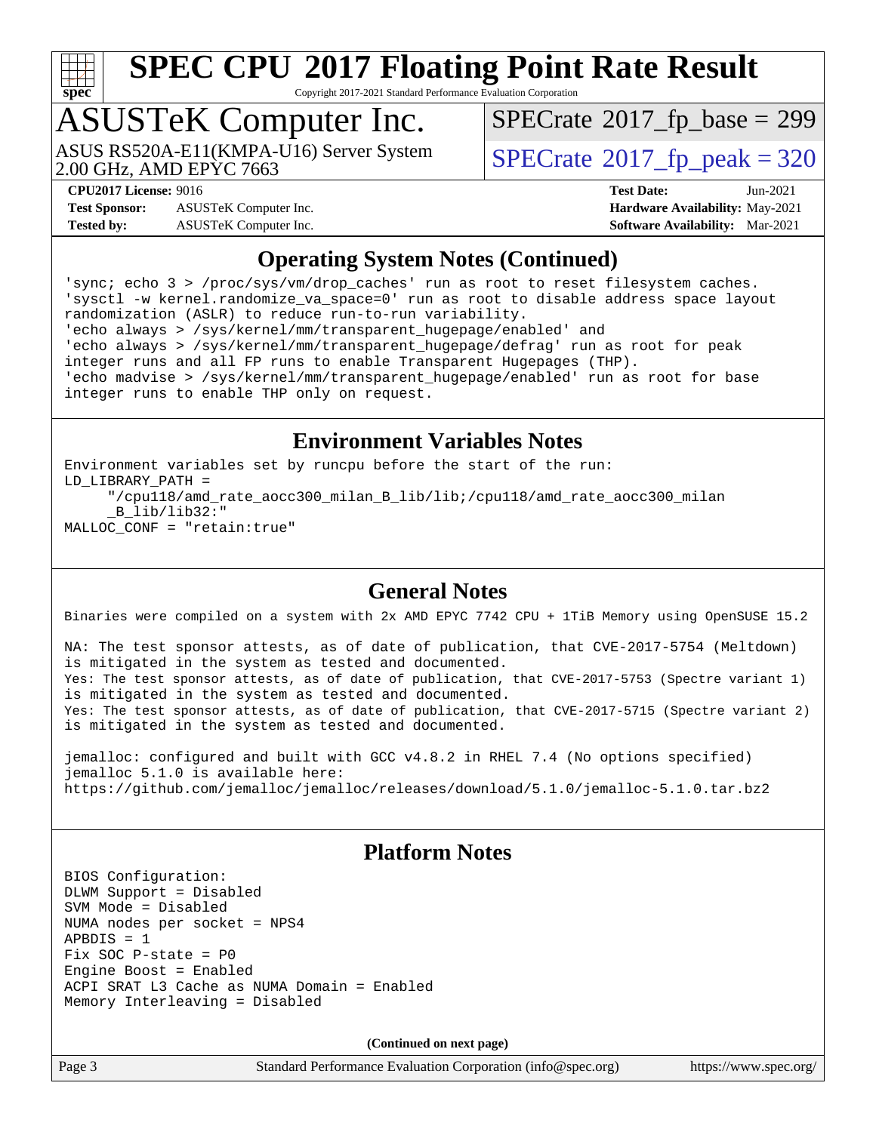

Copyright 2017-2021 Standard Performance Evaluation Corporation

# ASUSTeK Computer Inc.<br>ASUS RS520A-E11(KMPA-U16) Server System

2.00 GHz, AMD EPYC 7663

 $SPECTate$ <sup>®</sup>[2017\\_fp\\_base =](http://www.spec.org/auto/cpu2017/Docs/result-fields.html#SPECrate2017fpbase) 299

**[Test Sponsor:](http://www.spec.org/auto/cpu2017/Docs/result-fields.html#TestSponsor)** ASUSTeK Computer Inc. **[Hardware Availability:](http://www.spec.org/auto/cpu2017/Docs/result-fields.html#HardwareAvailability)** May-2021 **[Tested by:](http://www.spec.org/auto/cpu2017/Docs/result-fields.html#Testedby)** ASUSTeK Computer Inc. **[Software Availability:](http://www.spec.org/auto/cpu2017/Docs/result-fields.html#SoftwareAvailability)** Mar-2021

 $SPECTate<sup>®</sup>2017<sub>__</sub>fp<sub>__</sub>peak = 320$ 

**[CPU2017 License:](http://www.spec.org/auto/cpu2017/Docs/result-fields.html#CPU2017License)** 9016 **[Test Date:](http://www.spec.org/auto/cpu2017/Docs/result-fields.html#TestDate)** Jun-2021

#### **[Operating System Notes \(Continued\)](http://www.spec.org/auto/cpu2017/Docs/result-fields.html#OperatingSystemNotes)**

'sync; echo 3 > /proc/sys/vm/drop\_caches' run as root to reset filesystem caches. 'sysctl -w kernel.randomize\_va\_space=0' run as root to disable address space layout randomization (ASLR) to reduce run-to-run variability. 'echo always > /sys/kernel/mm/transparent\_hugepage/enabled' and 'echo always > /sys/kernel/mm/transparent\_hugepage/defrag' run as root for peak integer runs and all FP runs to enable Transparent Hugepages (THP). 'echo madvise > /sys/kernel/mm/transparent\_hugepage/enabled' run as root for base integer runs to enable THP only on request.

#### **[Environment Variables Notes](http://www.spec.org/auto/cpu2017/Docs/result-fields.html#EnvironmentVariablesNotes)**

Environment variables set by runcpu before the start of the run: LD\_LIBRARY\_PATH = "/cpu118/amd\_rate\_aocc300\_milan\_B\_lib/lib;/cpu118/amd\_rate\_aocc300\_milan \_B\_lib/lib32:"

MALLOC\_CONF = "retain:true"

#### **[General Notes](http://www.spec.org/auto/cpu2017/Docs/result-fields.html#GeneralNotes)**

Binaries were compiled on a system with 2x AMD EPYC 7742 CPU + 1TiB Memory using OpenSUSE 15.2

NA: The test sponsor attests, as of date of publication, that CVE-2017-5754 (Meltdown) is mitigated in the system as tested and documented. Yes: The test sponsor attests, as of date of publication, that CVE-2017-5753 (Spectre variant 1) is mitigated in the system as tested and documented. Yes: The test sponsor attests, as of date of publication, that CVE-2017-5715 (Spectre variant 2) is mitigated in the system as tested and documented.

jemalloc: configured and built with GCC v4.8.2 in RHEL 7.4 (No options specified) jemalloc 5.1.0 is available here: <https://github.com/jemalloc/jemalloc/releases/download/5.1.0/jemalloc-5.1.0.tar.bz2>

#### **[Platform Notes](http://www.spec.org/auto/cpu2017/Docs/result-fields.html#PlatformNotes)**

BIOS Configuration: DLWM Support = Disabled SVM Mode = Disabled NUMA nodes per socket = NPS4  $APBDIS = 1$ Fix SOC P-state = P0 Engine Boost = Enabled ACPI SRAT L3 Cache as NUMA Domain = Enabled Memory Interleaving = Disabled

**(Continued on next page)**

Page 3 Standard Performance Evaluation Corporation [\(info@spec.org\)](mailto:info@spec.org) <https://www.spec.org/>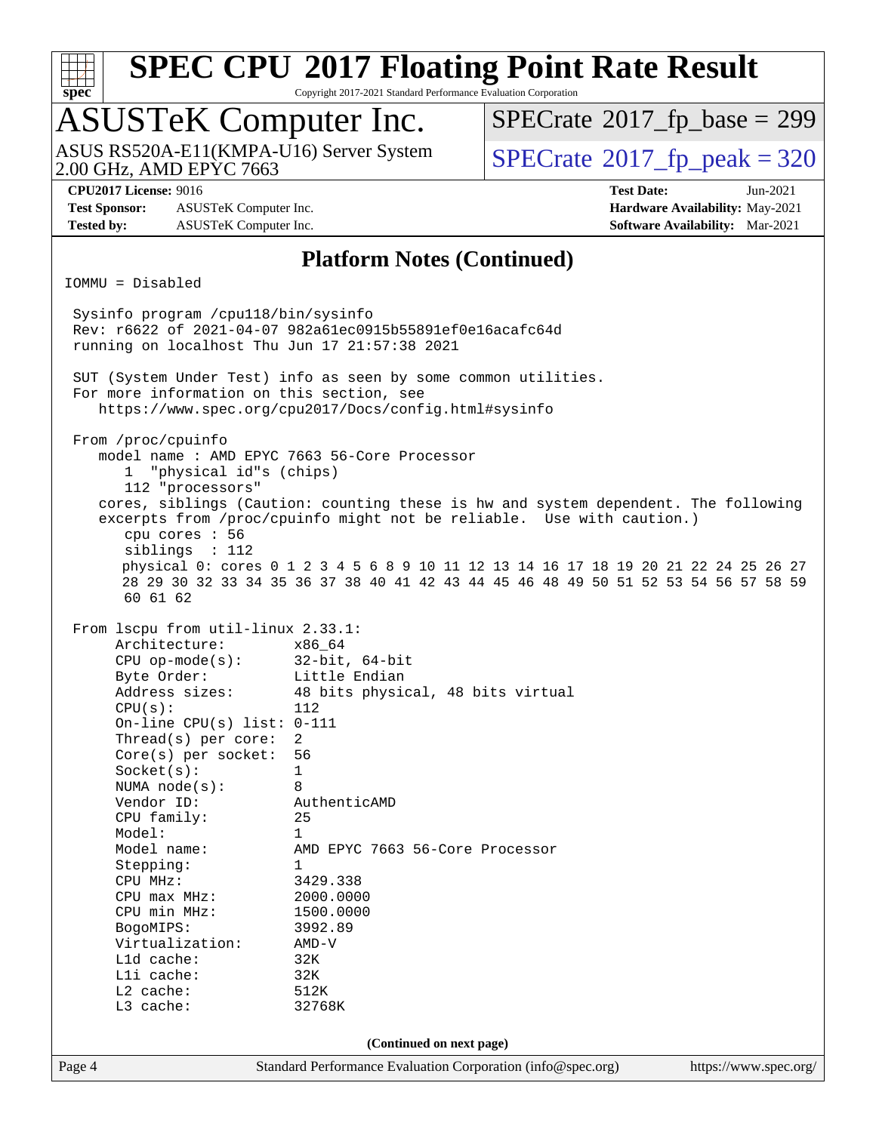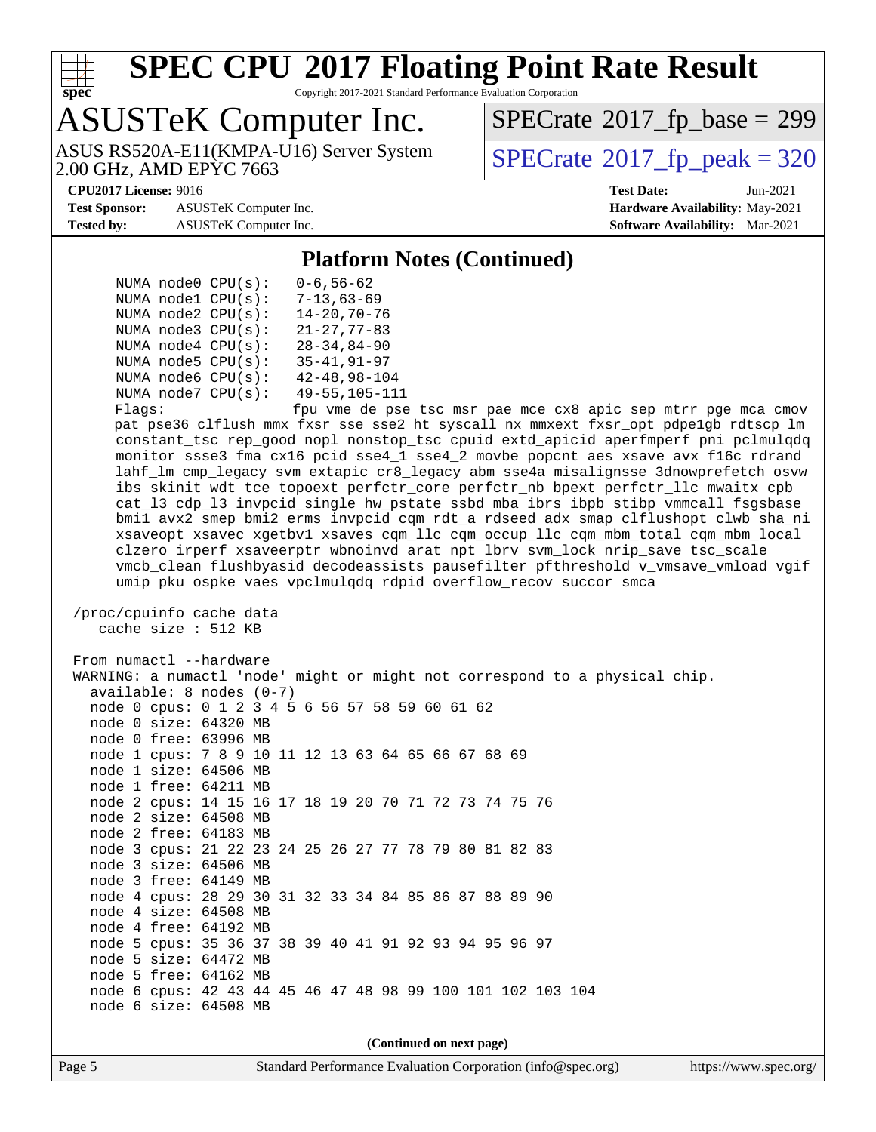

Copyright 2017-2021 Standard Performance Evaluation Corporation

## ASUSTeK Computer Inc.

2.00 GHz, AMD EPYC 7663 ASUS RS520A-E11(KMPA-U16) Server System  $\vert$  [SPECrate](http://www.spec.org/auto/cpu2017/Docs/result-fields.html#SPECrate2017fppeak)®[2017\\_fp\\_peak = 3](http://www.spec.org/auto/cpu2017/Docs/result-fields.html#SPECrate2017fppeak)20

 $SPECTate$ <sup>®</sup>[2017\\_fp\\_base =](http://www.spec.org/auto/cpu2017/Docs/result-fields.html#SPECrate2017fpbase) 299

**[Test Sponsor:](http://www.spec.org/auto/cpu2017/Docs/result-fields.html#TestSponsor)** ASUSTeK Computer Inc. **[Hardware Availability:](http://www.spec.org/auto/cpu2017/Docs/result-fields.html#HardwareAvailability)** May-2021 **[Tested by:](http://www.spec.org/auto/cpu2017/Docs/result-fields.html#Testedby)** ASUSTeK Computer Inc. **[Software Availability:](http://www.spec.org/auto/cpu2017/Docs/result-fields.html#SoftwareAvailability)** Mar-2021

**[CPU2017 License:](http://www.spec.org/auto/cpu2017/Docs/result-fields.html#CPU2017License)** 9016 **[Test Date:](http://www.spec.org/auto/cpu2017/Docs/result-fields.html#TestDate)** Jun-2021

**[Platform Notes \(Continued\)](http://www.spec.org/auto/cpu2017/Docs/result-fields.html#PlatformNotes)**

|  | NUMA $node0$ $CPU(s)$ : | $0 - 6, 56 - 62$     |
|--|-------------------------|----------------------|
|  | NUMA nodel CPU(s):      | $7 - 13,63 - 69$     |
|  | NUMA $node2$ $CPU(s)$ : | $14 - 20, 70 - 76$   |
|  | NUMA node3 CPU(s):      | $21 - 27.77 - 83$    |
|  | NUMA $node4$ $CPU(s)$ : | $28 - 34, 84 - 90$   |
|  | NUMA $node5$ $CPU(s)$ : | $35 - 41, 91 - 97$   |
|  | NUMA node6 CPU(s):      | $42 - 48, 98 - 104$  |
|  | NUMA node7 CPU(s):      | $49 - 55, 105 - 111$ |
|  |                         |                      |

 Flags: fpu vme de pse tsc msr pae mce cx8 apic sep mtrr pge mca cmov pat pse36 clflush mmx fxsr sse sse2 ht syscall nx mmxext fxsr\_opt pdpe1gb rdtscp lm constant\_tsc rep\_good nopl nonstop\_tsc cpuid extd\_apicid aperfmperf pni pclmulqdq monitor ssse3 fma cx16 pcid sse4\_1 sse4\_2 movbe popcnt aes xsave avx f16c rdrand lahf\_lm cmp\_legacy svm extapic cr8\_legacy abm sse4a misalignsse 3dnowprefetch osvw ibs skinit wdt tce topoext perfctr\_core perfctr\_nb bpext perfctr\_llc mwaitx cpb cat\_l3 cdp\_l3 invpcid\_single hw\_pstate ssbd mba ibrs ibpb stibp vmmcall fsgsbase bmi1 avx2 smep bmi2 erms invpcid cqm rdt\_a rdseed adx smap clflushopt clwb sha\_ni xsaveopt xsavec xgetbv1 xsaves cqm\_llc cqm\_occup\_llc cqm\_mbm\_total cqm\_mbm\_local clzero irperf xsaveerptr wbnoinvd arat npt lbrv svm\_lock nrip\_save tsc\_scale vmcb\_clean flushbyasid decodeassists pausefilter pfthreshold v\_vmsave\_vmload vgif umip pku ospke vaes vpclmulqdq rdpid overflow\_recov succor smca

 /proc/cpuinfo cache data cache size : 512 KB

From numactl --hardware WARNING: a numactl 'node' might or might not correspond to a physical chip. available: 8 nodes (0-7) node 0 cpus: 0 1 2 3 4 5 6 56 57 58 59 60 61 62 node 0 size: 64320 MB node 0 free: 63996 MB node 1 cpus: 7 8 9 10 11 12 13 63 64 65 66 67 68 69 node 1 size: 64506 MB node 1 free: 64211 MB node 2 cpus: 14 15 16 17 18 19 20 70 71 72 73 74 75 76 node 2 size: 64508 MB node 2 free: 64183 MB node 3 cpus: 21 22 23 24 25 26 27 77 78 79 80 81 82 83 node 3 size: 64506 MB node 3 free: 64149 MB node 4 cpus: 28 29 30 31 32 33 34 84 85 86 87 88 89 90 node 4 size: 64508 MB node 4 free: 64192 MB node 5 cpus: 35 36 37 38 39 40 41 91 92 93 94 95 96 97 node 5 size: 64472 MB node 5 free: 64162 MB node 6 cpus: 42 43 44 45 46 47 48 98 99 100 101 102 103 104 node 6 size: 64508 MB

**(Continued on next page)**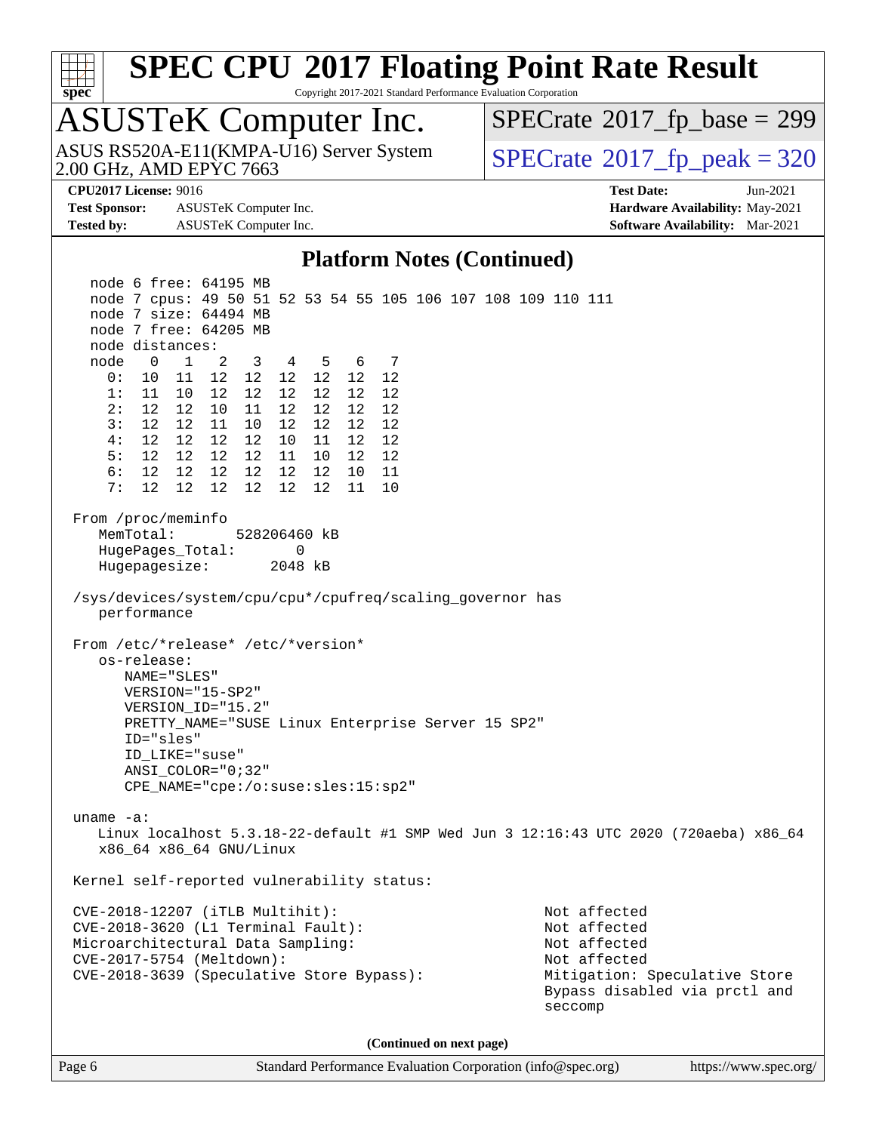

Copyright 2017-2021 Standard Performance Evaluation Corporation

### ASUSTeK Computer Inc.

2.00 GHz, AMD EPYC 7663 ASUS RS520A-E11(KMPA-U16) Server System  $\sqrt{\text{SPECrate}^{\otimes}2017\_fp\_peak} = 320$  $\sqrt{\text{SPECrate}^{\otimes}2017\_fp\_peak} = 320$  $\sqrt{\text{SPECrate}^{\otimes}2017\_fp\_peak} = 320$ 

 $SPECTate$ <sup>®</sup>[2017\\_fp\\_base =](http://www.spec.org/auto/cpu2017/Docs/result-fields.html#SPECrate2017fpbase) 299

**[Test Sponsor:](http://www.spec.org/auto/cpu2017/Docs/result-fields.html#TestSponsor)** ASUSTeK Computer Inc. **[Hardware Availability:](http://www.spec.org/auto/cpu2017/Docs/result-fields.html#HardwareAvailability)** May-2021 **[Tested by:](http://www.spec.org/auto/cpu2017/Docs/result-fields.html#Testedby)** ASUSTeK Computer Inc. **[Software Availability:](http://www.spec.org/auto/cpu2017/Docs/result-fields.html#SoftwareAvailability)** Mar-2021

**[CPU2017 License:](http://www.spec.org/auto/cpu2017/Docs/result-fields.html#CPU2017License)** 9016 **[Test Date:](http://www.spec.org/auto/cpu2017/Docs/result-fields.html#TestDate)** Jun-2021

#### **[Platform Notes \(Continued\)](http://www.spec.org/auto/cpu2017/Docs/result-fields.html#PlatformNotes)**

 node 6 free: 64195 MB node 7 cpus: 49 50 51 52 53 54 55 105 106 107 108 109 110 111 node 7 size: 64494 MB node 7 free: 64205 MB node distances: node 0 1 2 3 4 5 6 7 0: 10 11 12 12 12 12 12 12 1: 11 10 12 12 12 12 12 12 2: 12 12 10 11 12 12 12 12 3: 12 12 11 10 12 12 12 12 4: 12 12 12 12 10 11 12 12 5: 12 12 12 12 11 10 12 12 6: 12 12 12 12 12 12 10 11 7: 12 12 12 12 12 12 11 10 From /proc/meminfo MemTotal: 528206460 kB HugePages\_Total: 0 Hugepagesize: 2048 kB /sys/devices/system/cpu/cpu\*/cpufreq/scaling\_governor has performance From /etc/\*release\* /etc/\*version\* os-release: NAME="SLES" VERSION="15-SP2" VERSION\_ID="15.2" PRETTY\_NAME="SUSE Linux Enterprise Server 15 SP2" ID="sles" ID\_LIKE="suse" ANSI\_COLOR="0;32" CPE\_NAME="cpe:/o:suse:sles:15:sp2" uname -a: Linux localhost 5.3.18-22-default #1 SMP Wed Jun 3 12:16:43 UTC 2020 (720aeba) x86\_64 x86\_64 x86\_64 GNU/Linux Kernel self-reported vulnerability status: CVE-2018-12207 (iTLB Multihit): Not affected CVE-2018-3620 (L1 Terminal Fault): Not affected Microarchitectural Data Sampling: Not affected CVE-2017-5754 (Meltdown): Not affected CVE-2018-3639 (Speculative Store Bypass): Mitigation: Speculative Store Bypass disabled via prctl and seccomp **(Continued on next page)**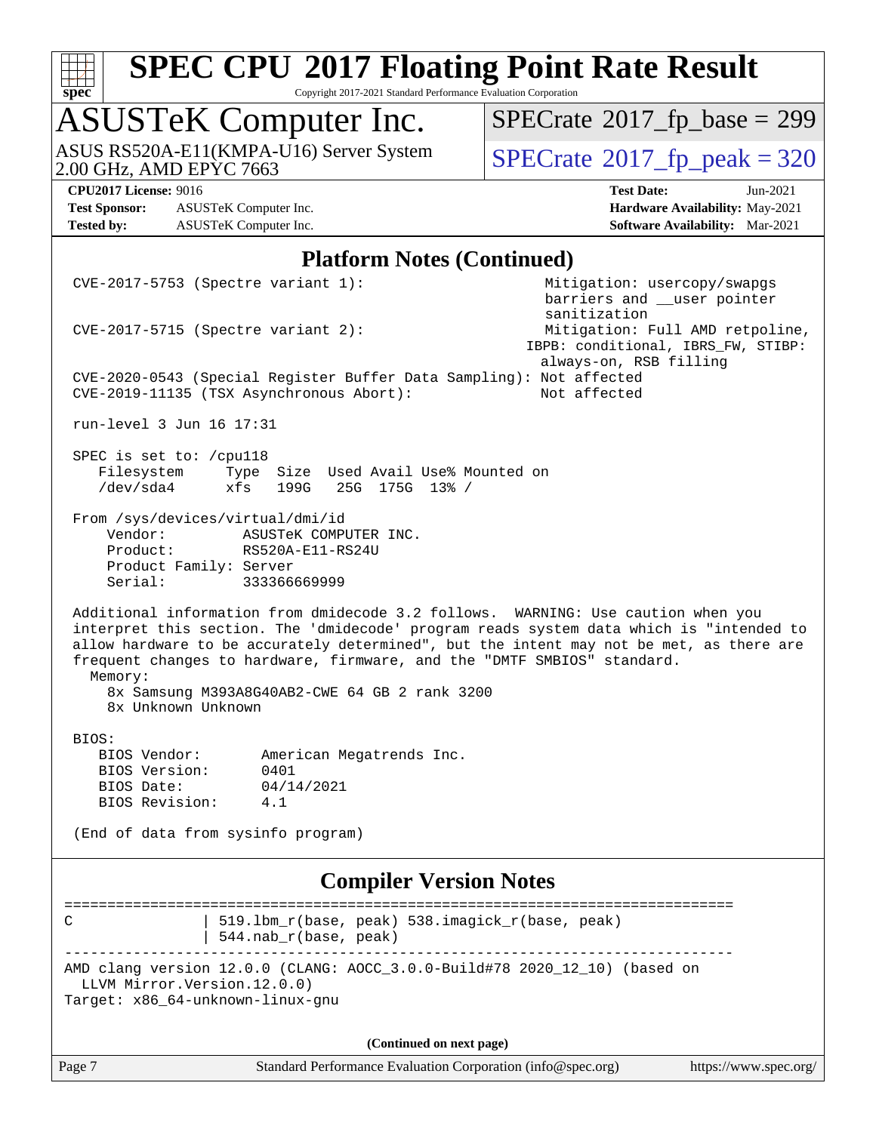

Copyright 2017-2021 Standard Performance Evaluation Corporation

### ASUSTeK Computer Inc.

ASUS RS520A-E11(KMPA-U16) Server System [SPECrate](http://www.spec.org/auto/cpu2017/Docs/result-fields.html#SPECrate2017fppeak)®[2017\\_fp\\_peak = 3](http://www.spec.org/auto/cpu2017/Docs/result-fields.html#SPECrate2017fppeak)20

 $SPECrate$ <sup>®</sup>[2017\\_fp\\_base =](http://www.spec.org/auto/cpu2017/Docs/result-fields.html#SPECrate2017fpbase) 299

**[Test Sponsor:](http://www.spec.org/auto/cpu2017/Docs/result-fields.html#TestSponsor)** ASUSTeK Computer Inc. **[Hardware Availability:](http://www.spec.org/auto/cpu2017/Docs/result-fields.html#HardwareAvailability)** May-2021 **[Tested by:](http://www.spec.org/auto/cpu2017/Docs/result-fields.html#Testedby)** ASUSTeK Computer Inc. **[Software Availability:](http://www.spec.org/auto/cpu2017/Docs/result-fields.html#SoftwareAvailability)** Mar-2021

**[CPU2017 License:](http://www.spec.org/auto/cpu2017/Docs/result-fields.html#CPU2017License)** 9016 **[Test Date:](http://www.spec.org/auto/cpu2017/Docs/result-fields.html#TestDate)** Jun-2021

#### **[Platform Notes \(Continued\)](http://www.spec.org/auto/cpu2017/Docs/result-fields.html#PlatformNotes)**

| Page 7                                                            |                                                                                                                 | Standard Performance Evaluation Corporation (info@spec.org) |                                                                                                                                                                                                                                                                         | https://www.spec.org/ |
|-------------------------------------------------------------------|-----------------------------------------------------------------------------------------------------------------|-------------------------------------------------------------|-------------------------------------------------------------------------------------------------------------------------------------------------------------------------------------------------------------------------------------------------------------------------|-----------------------|
|                                                                   |                                                                                                                 | (Continued on next page)                                    |                                                                                                                                                                                                                                                                         |                       |
| LLVM Mirror. Version. 12.0.0)<br>Target: x86_64-unknown-linux-gnu |                                                                                                                 |                                                             | AMD clang version 12.0.0 (CLANG: AOCC_3.0.0-Build#78 2020_12_10) (based on                                                                                                                                                                                              |                       |
| C                                                                 | 544.nab_r(base, peak)                                                                                           | 519.1bm_r(base, peak) 538.imagick_r(base, peak)             |                                                                                                                                                                                                                                                                         |                       |
|                                                                   |                                                                                                                 | <b>Compiler Version Notes</b>                               |                                                                                                                                                                                                                                                                         |                       |
|                                                                   | (End of data from sysinfo program)                                                                              |                                                             |                                                                                                                                                                                                                                                                         |                       |
| BIOS Revision:                                                    | 4.1                                                                                                             |                                                             |                                                                                                                                                                                                                                                                         |                       |
| BIOS Version:<br>BIOS Date:                                       | 0401<br>04/14/2021                                                                                              |                                                             |                                                                                                                                                                                                                                                                         |                       |
| BIOS:<br>BIOS Vendor:                                             | American Megatrends Inc.                                                                                        |                                                             |                                                                                                                                                                                                                                                                         |                       |
| Memory:<br>8x Unknown Unknown                                     | 8x Samsung M393A8G40AB2-CWE 64 GB 2 rank 3200                                                                   |                                                             |                                                                                                                                                                                                                                                                         |                       |
|                                                                   | frequent changes to hardware, firmware, and the "DMTF SMBIOS" standard.                                         |                                                             | Additional information from dmidecode 3.2 follows. WARNING: Use caution when you<br>interpret this section. The 'dmidecode' program reads system data which is "intended to<br>allow hardware to be accurately determined", but the intent may not be met, as there are |                       |
| Serial:                                                           | 333366669999                                                                                                    |                                                             |                                                                                                                                                                                                                                                                         |                       |
| Product:<br>Product Family: Server                                | ASUSTEK COMPUTER INC.<br>RS520A-E11-RS24U                                                                       |                                                             |                                                                                                                                                                                                                                                                         |                       |
| Vendor:                                                           | From /sys/devices/virtual/dmi/id                                                                                |                                                             |                                                                                                                                                                                                                                                                         |                       |
| SPEC is set to: /cpull8<br>Filesystem<br>/dev/sda4                | xfs<br>199G                                                                                                     | Type Size Used Avail Use% Mounted on<br>25G 175G 13% /      |                                                                                                                                                                                                                                                                         |                       |
| run-level 3 Jun 16 17:31                                          |                                                                                                                 |                                                             |                                                                                                                                                                                                                                                                         |                       |
|                                                                   | CVE-2020-0543 (Special Register Buffer Data Sampling): Not affected<br>CVE-2019-11135 (TSX Asynchronous Abort): |                                                             | always-on, RSB filling<br>Not affected                                                                                                                                                                                                                                  |                       |
|                                                                   | $CVE-2017-5715$ (Spectre variant 2):                                                                            |                                                             | sanitization<br>Mitigation: Full AMD retpoline,<br>IBPB: conditional, IBRS_FW, STIBP:                                                                                                                                                                                   |                       |
|                                                                   | $CVE-2017-5753$ (Spectre variant 1):                                                                            |                                                             | Mitigation: usercopy/swapgs<br>barriers and __user pointer                                                                                                                                                                                                              |                       |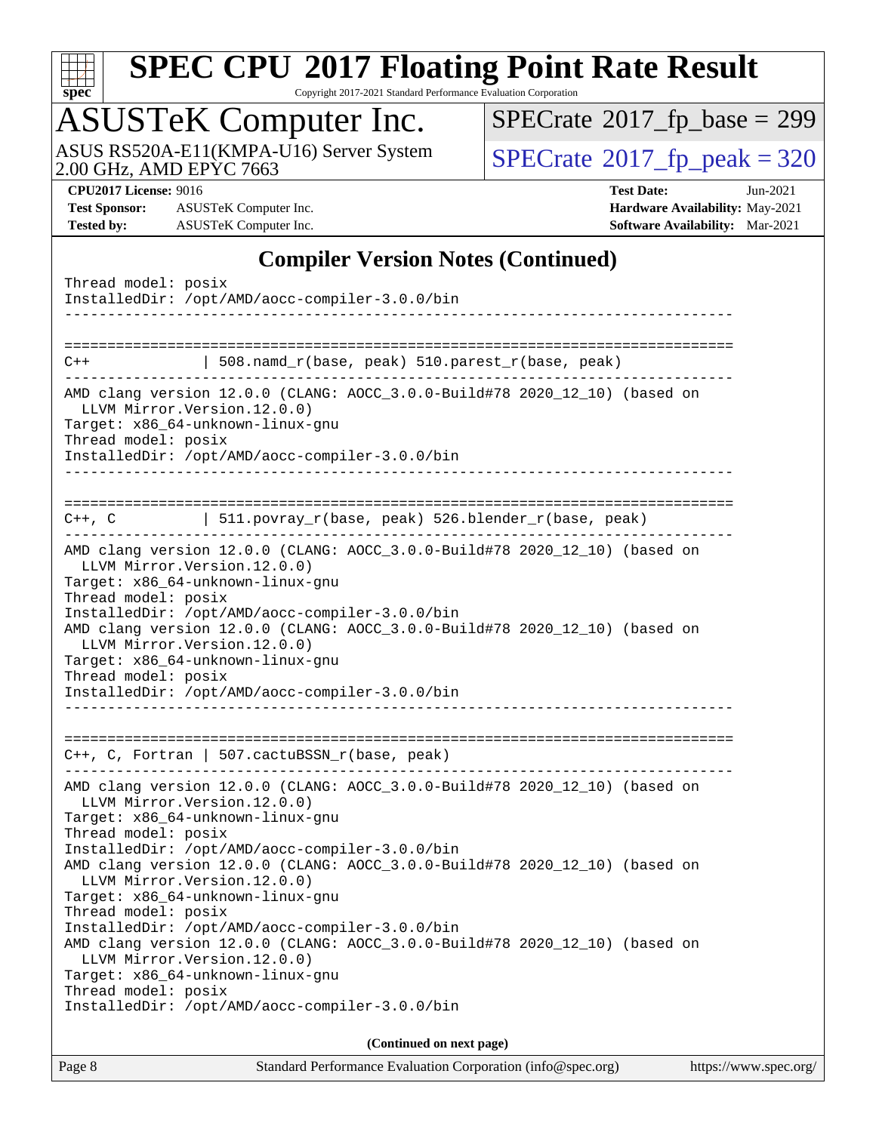

Copyright 2017-2021 Standard Performance Evaluation Corporation

### ASUSTeK Computer Inc.

ASUS RS520A-E11(KMPA-U16) Server System [SPECrate](http://www.spec.org/auto/cpu2017/Docs/result-fields.html#SPECrate2017fppeak)®[2017\\_fp\\_peak = 3](http://www.spec.org/auto/cpu2017/Docs/result-fields.html#SPECrate2017fppeak)20

 $SPECrate$ <sup>®</sup>[2017\\_fp\\_base =](http://www.spec.org/auto/cpu2017/Docs/result-fields.html#SPECrate2017fpbase) 299

**[Test Sponsor:](http://www.spec.org/auto/cpu2017/Docs/result-fields.html#TestSponsor)** ASUSTeK Computer Inc. **[Hardware Availability:](http://www.spec.org/auto/cpu2017/Docs/result-fields.html#HardwareAvailability)** May-2021 **[Tested by:](http://www.spec.org/auto/cpu2017/Docs/result-fields.html#Testedby)** ASUSTeK Computer Inc. **[Software Availability:](http://www.spec.org/auto/cpu2017/Docs/result-fields.html#SoftwareAvailability)** Mar-2021

**[CPU2017 License:](http://www.spec.org/auto/cpu2017/Docs/result-fields.html#CPU2017License)** 9016 **[Test Date:](http://www.spec.org/auto/cpu2017/Docs/result-fields.html#TestDate)** Jun-2021

#### **[Compiler Version Notes \(Continued\)](http://www.spec.org/auto/cpu2017/Docs/result-fields.html#CompilerVersionNotes)**

| Thread model: posix<br>InstalledDir: /opt/AMD/aocc-compiler-3.0.0/bin                                                                                                                                                                                                                                                                                                                                                                                                           |  |  |  |  |
|---------------------------------------------------------------------------------------------------------------------------------------------------------------------------------------------------------------------------------------------------------------------------------------------------------------------------------------------------------------------------------------------------------------------------------------------------------------------------------|--|--|--|--|
| $508.namd_r(base, peak) 510.parest_r(base, peak)$<br>$C++$                                                                                                                                                                                                                                                                                                                                                                                                                      |  |  |  |  |
| AMD clang version 12.0.0 (CLANG: AOCC_3.0.0-Build#78 2020_12_10) (based on<br>LLVM Mirror. Version. 12.0.0)<br>Target: x86_64-unknown-linux-gnu<br>Thread model: posix<br>InstalledDir: /opt/AMD/aocc-compiler-3.0.0/bin                                                                                                                                                                                                                                                        |  |  |  |  |
| C++, C   511.povray_r(base, peak) 526.blender_r(base, peak)                                                                                                                                                                                                                                                                                                                                                                                                                     |  |  |  |  |
| AMD clang version 12.0.0 (CLANG: AOCC_3.0.0-Build#78 2020_12_10) (based on<br>LLVM Mirror. Version. 12.0.0)<br>Target: x86_64-unknown-linux-gnu<br>Thread model: posix<br>InstalledDir: /opt/AMD/aocc-compiler-3.0.0/bin<br>AMD clang version 12.0.0 (CLANG: AOCC_3.0.0-Build#78 2020_12_10) (based on<br>LLVM Mirror. Version. 12.0.0)<br>Target: x86_64-unknown-linux-gnu<br>Thread model: posix<br>InstalledDir: /opt/AMD/aocc-compiler-3.0.0/bin<br>----------------------- |  |  |  |  |
| $C++$ , C, Fortran   507.cactuBSSN_r(base, peak)                                                                                                                                                                                                                                                                                                                                                                                                                                |  |  |  |  |
| ______________________________                                                                                                                                                                                                                                                                                                                                                                                                                                                  |  |  |  |  |
| AMD clang version 12.0.0 (CLANG: AOCC_3.0.0-Build#78 2020_12_10) (based on<br>LLVM Mirror.Version.12.0.0)<br>Target: x86_64-unknown-linux-gnu<br>Thread model: posix<br>InstalledDir: /opt/AMD/aocc-compiler-3.0.0/bin                                                                                                                                                                                                                                                          |  |  |  |  |
| AMD clang version 12.0.0 (CLANG: AOCC_3.0.0-Build#78 2020_12_10) (based on<br>LLVM Mirror. Version. 12.0.0)<br>Target: x86_64-unknown-linux-gnu<br>Thread model: posix                                                                                                                                                                                                                                                                                                          |  |  |  |  |
| InstalledDir: /opt/AMD/aocc-compiler-3.0.0/bin<br>AMD clang version 12.0.0 (CLANG: AOCC_3.0.0-Build#78 2020_12_10) (based on<br>LLVM Mirror. Version. 12.0.0)<br>Target: x86_64-unknown-linux-gnu<br>Thread model: posix                                                                                                                                                                                                                                                        |  |  |  |  |
| InstalledDir: /opt/AMD/aocc-compiler-3.0.0/bin                                                                                                                                                                                                                                                                                                                                                                                                                                  |  |  |  |  |
| (Continued on next page)                                                                                                                                                                                                                                                                                                                                                                                                                                                        |  |  |  |  |
|                                                                                                                                                                                                                                                                                                                                                                                                                                                                                 |  |  |  |  |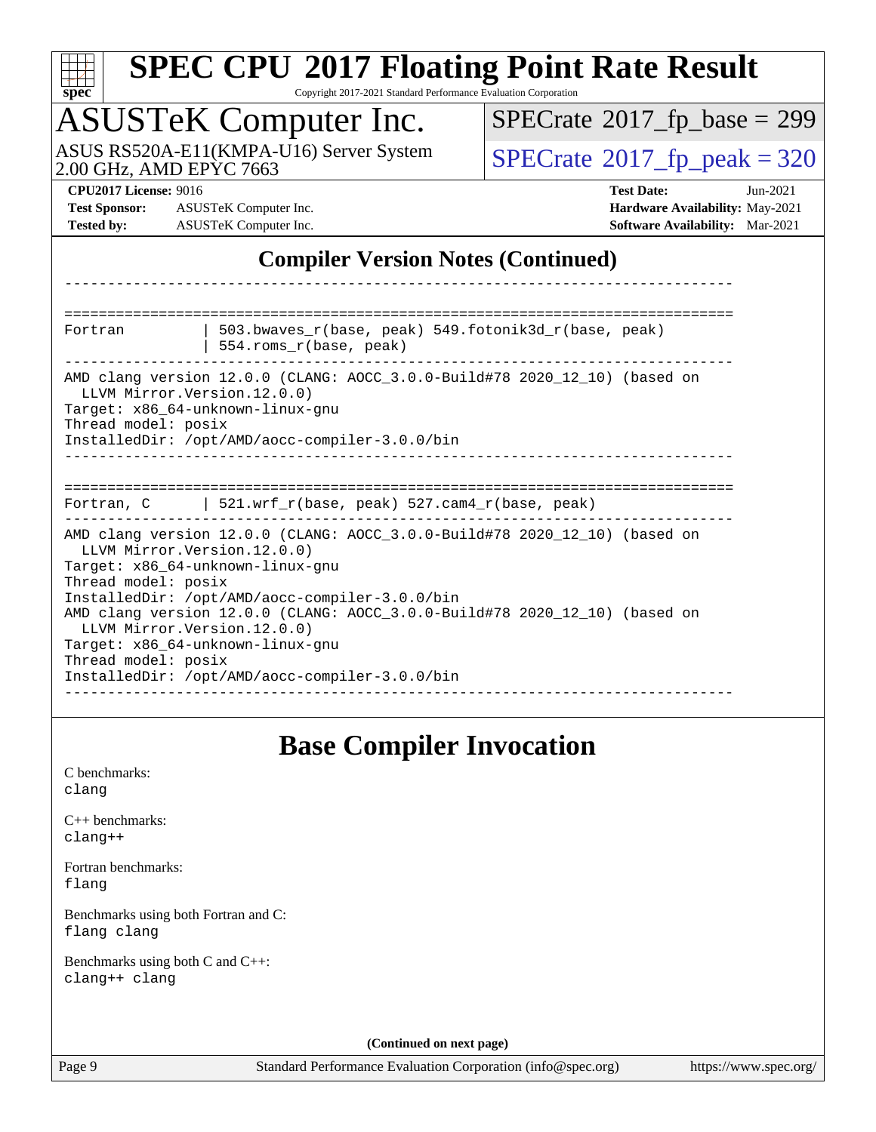| s,<br>æ<br>0<br>Ľ<br>÷ |  |  |  |  |  |
|------------------------|--|--|--|--|--|

#### **[SPEC CPU](http://www.spec.org/auto/cpu2017/Docs/result-fields.html#SPECCPU2017FloatingPointRateResult)[2017 Floating Point Rate Result](http://www.spec.org/auto/cpu2017/Docs/result-fields.html#SPECCPU2017FloatingPointRateResult)** Copyright 2017-2021 Standard Performance Evaluation Corporation

### ASUSTeK Computer Inc.

ASUS RS520A-E11(KMPA-U16) Server System [SPECrate](http://www.spec.org/auto/cpu2017/Docs/result-fields.html#SPECrate2017fppeak)®[2017\\_fp\\_peak = 3](http://www.spec.org/auto/cpu2017/Docs/result-fields.html#SPECrate2017fppeak)20

 $SPECrate$ <sup>®</sup>[2017\\_fp\\_base =](http://www.spec.org/auto/cpu2017/Docs/result-fields.html#SPECrate2017fpbase) 299

**[Test Sponsor:](http://www.spec.org/auto/cpu2017/Docs/result-fields.html#TestSponsor)** ASUSTeK Computer Inc. **[Hardware Availability:](http://www.spec.org/auto/cpu2017/Docs/result-fields.html#HardwareAvailability)** May-2021 **[Tested by:](http://www.spec.org/auto/cpu2017/Docs/result-fields.html#Testedby)** ASUSTeK Computer Inc. **[Software Availability:](http://www.spec.org/auto/cpu2017/Docs/result-fields.html#SoftwareAvailability)** Mar-2021

**[CPU2017 License:](http://www.spec.org/auto/cpu2017/Docs/result-fields.html#CPU2017License)** 9016 **[Test Date:](http://www.spec.org/auto/cpu2017/Docs/result-fields.html#TestDate)** Jun-2021

#### **[Compiler Version Notes \(Continued\)](http://www.spec.org/auto/cpu2017/Docs/result-fields.html#CompilerVersionNotes)**

| Fortran                                                                                                                                                                              | 503.bwaves r(base, peak) 549.fotonik3d r(base, peak)<br>554.roms_r(base, peak)                                                                                                                                                                               |
|--------------------------------------------------------------------------------------------------------------------------------------------------------------------------------------|--------------------------------------------------------------------------------------------------------------------------------------------------------------------------------------------------------------------------------------------------------------|
| LLVM Mirror. Version. 12.0.0)<br>Target: x86 64-unknown-linux-gnu<br>Thread model: posix                                                                                             | AMD clang version 12.0.0 (CLANG: AOCC_3.0.0-Build#78 2020_12_10) (based on<br>InstalledDir: /opt/AMD/aocc-compiler-3.0.0/bin                                                                                                                                 |
|                                                                                                                                                                                      |                                                                                                                                                                                                                                                              |
|                                                                                                                                                                                      | Fortran, C   521.wrf_r(base, peak) 527.cam4_r(base, peak)                                                                                                                                                                                                    |
| LLVM Mirror. Version. 12.0.0)<br>Target: x86 64-unknown-linux-gnu<br>Thread model: posix<br>LLVM Mirror. Version. 12.0.0)<br>Target: x86 64-unknown-linux-gnu<br>Thread model: posix | AMD clang version 12.0.0 (CLANG: AOCC 3.0.0-Build#78 2020 12 10) (based on<br>InstalledDir: /opt/AMD/aocc-compiler-3.0.0/bin<br>AMD clang version 12.0.0 (CLANG: AOCC_3.0.0-Build#78 2020_12_10) (based on<br>InstalledDir: /opt/AMD/aocc-compiler-3.0.0/bin |
|                                                                                                                                                                                      |                                                                                                                                                                                                                                                              |

#### **[Base Compiler Invocation](http://www.spec.org/auto/cpu2017/Docs/result-fields.html#BaseCompilerInvocation)**

[C benchmarks](http://www.spec.org/auto/cpu2017/Docs/result-fields.html#Cbenchmarks): [clang](http://www.spec.org/cpu2017/results/res2021q3/cpu2017-20210705-27718.flags.html#user_CCbase_clang-c)

[C++ benchmarks:](http://www.spec.org/auto/cpu2017/Docs/result-fields.html#CXXbenchmarks) [clang++](http://www.spec.org/cpu2017/results/res2021q3/cpu2017-20210705-27718.flags.html#user_CXXbase_clang-cpp)

[Fortran benchmarks](http://www.spec.org/auto/cpu2017/Docs/result-fields.html#Fortranbenchmarks): [flang](http://www.spec.org/cpu2017/results/res2021q3/cpu2017-20210705-27718.flags.html#user_FCbase_flang)

[Benchmarks using both Fortran and C](http://www.spec.org/auto/cpu2017/Docs/result-fields.html#BenchmarksusingbothFortranandC): [flang](http://www.spec.org/cpu2017/results/res2021q3/cpu2017-20210705-27718.flags.html#user_CC_FCbase_flang) [clang](http://www.spec.org/cpu2017/results/res2021q3/cpu2017-20210705-27718.flags.html#user_CC_FCbase_clang-c)

[Benchmarks using both C and C++](http://www.spec.org/auto/cpu2017/Docs/result-fields.html#BenchmarksusingbothCandCXX): [clang++](http://www.spec.org/cpu2017/results/res2021q3/cpu2017-20210705-27718.flags.html#user_CC_CXXbase_clang-cpp) [clang](http://www.spec.org/cpu2017/results/res2021q3/cpu2017-20210705-27718.flags.html#user_CC_CXXbase_clang-c)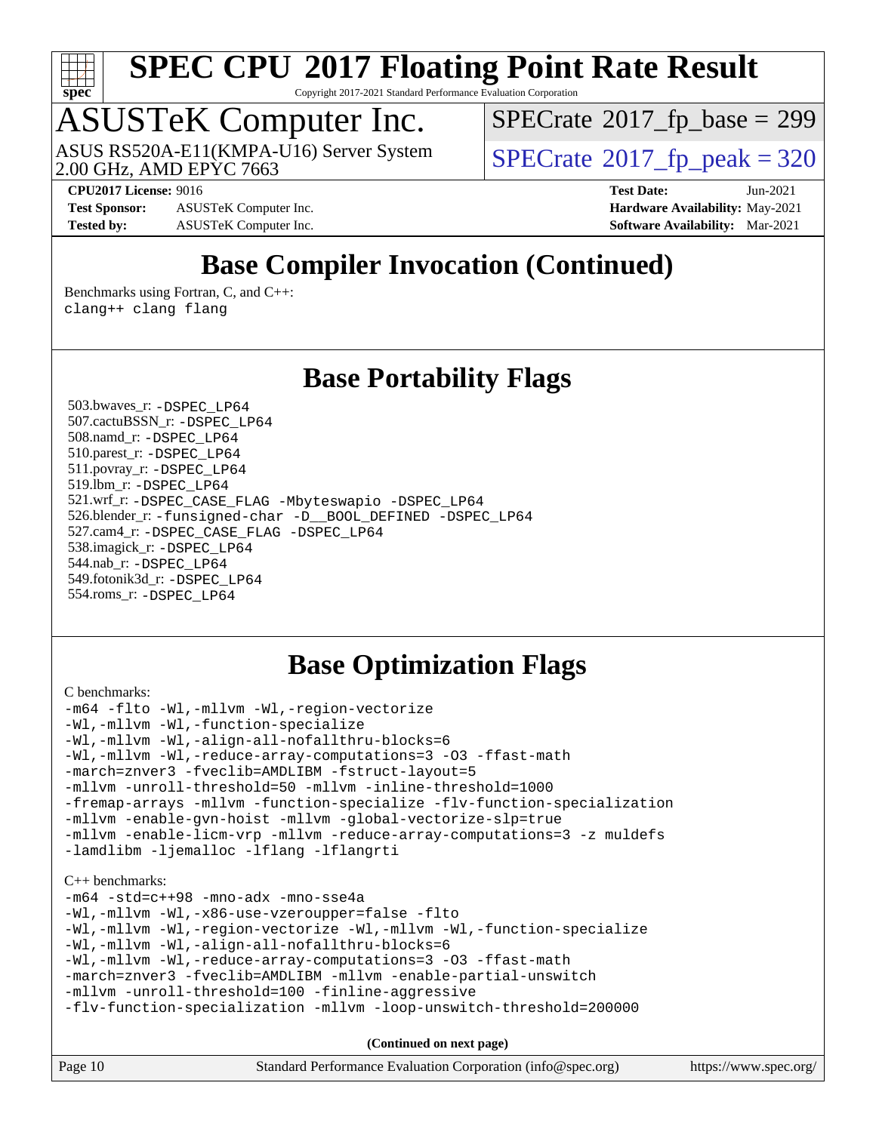

Copyright 2017-2021 Standard Performance Evaluation Corporation

### ASUSTeK Computer Inc.

2.00 GHz, AMD EPYC 7663 ASUS RS520A-E11(KMPA-U16) Server System  $\sqrt{\text{SPECrate}^{\otimes}2017\_fp\_peak} = 320$  $\sqrt{\text{SPECrate}^{\otimes}2017\_fp\_peak} = 320$  $\sqrt{\text{SPECrate}^{\otimes}2017\_fp\_peak} = 320$ 

 $SPECrate$ <sup>®</sup>[2017\\_fp\\_base =](http://www.spec.org/auto/cpu2017/Docs/result-fields.html#SPECrate2017fpbase) 299

**[CPU2017 License:](http://www.spec.org/auto/cpu2017/Docs/result-fields.html#CPU2017License)** 9016 **[Test Date:](http://www.spec.org/auto/cpu2017/Docs/result-fields.html#TestDate)** Jun-2021

**[Test Sponsor:](http://www.spec.org/auto/cpu2017/Docs/result-fields.html#TestSponsor)** ASUSTeK Computer Inc. **[Hardware Availability:](http://www.spec.org/auto/cpu2017/Docs/result-fields.html#HardwareAvailability)** May-2021 **[Tested by:](http://www.spec.org/auto/cpu2017/Docs/result-fields.html#Testedby)** ASUSTeK Computer Inc. **[Software Availability:](http://www.spec.org/auto/cpu2017/Docs/result-fields.html#SoftwareAvailability)** Mar-2021

### **[Base Compiler Invocation \(Continued\)](http://www.spec.org/auto/cpu2017/Docs/result-fields.html#BaseCompilerInvocation)**

[Benchmarks using Fortran, C, and C++:](http://www.spec.org/auto/cpu2017/Docs/result-fields.html#BenchmarksusingFortranCandCXX) [clang++](http://www.spec.org/cpu2017/results/res2021q3/cpu2017-20210705-27718.flags.html#user_CC_CXX_FCbase_clang-cpp) [clang](http://www.spec.org/cpu2017/results/res2021q3/cpu2017-20210705-27718.flags.html#user_CC_CXX_FCbase_clang-c) [flang](http://www.spec.org/cpu2017/results/res2021q3/cpu2017-20210705-27718.flags.html#user_CC_CXX_FCbase_flang)

#### **[Base Portability Flags](http://www.spec.org/auto/cpu2017/Docs/result-fields.html#BasePortabilityFlags)**

 503.bwaves\_r: [-DSPEC\\_LP64](http://www.spec.org/cpu2017/results/res2021q3/cpu2017-20210705-27718.flags.html#suite_baseEXTRA_PORTABILITY503_bwaves_r_DSPEC_LP64) 507.cactuBSSN\_r: [-DSPEC\\_LP64](http://www.spec.org/cpu2017/results/res2021q3/cpu2017-20210705-27718.flags.html#suite_baseEXTRA_PORTABILITY507_cactuBSSN_r_DSPEC_LP64) 508.namd\_r: [-DSPEC\\_LP64](http://www.spec.org/cpu2017/results/res2021q3/cpu2017-20210705-27718.flags.html#suite_baseEXTRA_PORTABILITY508_namd_r_DSPEC_LP64) 510.parest\_r: [-DSPEC\\_LP64](http://www.spec.org/cpu2017/results/res2021q3/cpu2017-20210705-27718.flags.html#suite_baseEXTRA_PORTABILITY510_parest_r_DSPEC_LP64) 511.povray\_r: [-DSPEC\\_LP64](http://www.spec.org/cpu2017/results/res2021q3/cpu2017-20210705-27718.flags.html#suite_baseEXTRA_PORTABILITY511_povray_r_DSPEC_LP64) 519.lbm\_r: [-DSPEC\\_LP64](http://www.spec.org/cpu2017/results/res2021q3/cpu2017-20210705-27718.flags.html#suite_baseEXTRA_PORTABILITY519_lbm_r_DSPEC_LP64) 521.wrf\_r: [-DSPEC\\_CASE\\_FLAG](http://www.spec.org/cpu2017/results/res2021q3/cpu2017-20210705-27718.flags.html#b521.wrf_r_baseCPORTABILITY_DSPEC_CASE_FLAG) [-Mbyteswapio](http://www.spec.org/cpu2017/results/res2021q3/cpu2017-20210705-27718.flags.html#user_baseFPORTABILITY521_wrf_r_F-mbyteswapio) [-DSPEC\\_LP64](http://www.spec.org/cpu2017/results/res2021q3/cpu2017-20210705-27718.flags.html#suite_baseEXTRA_PORTABILITY521_wrf_r_DSPEC_LP64) 526.blender\_r: [-funsigned-char](http://www.spec.org/cpu2017/results/res2021q3/cpu2017-20210705-27718.flags.html#user_baseCPORTABILITY526_blender_r_aocc-unsigned-char) [-D\\_\\_BOOL\\_DEFINED](http://www.spec.org/cpu2017/results/res2021q3/cpu2017-20210705-27718.flags.html#b526.blender_r_baseCXXPORTABILITY_D__BOOL_DEFINED) [-DSPEC\\_LP64](http://www.spec.org/cpu2017/results/res2021q3/cpu2017-20210705-27718.flags.html#suite_baseEXTRA_PORTABILITY526_blender_r_DSPEC_LP64) 527.cam4\_r: [-DSPEC\\_CASE\\_FLAG](http://www.spec.org/cpu2017/results/res2021q3/cpu2017-20210705-27718.flags.html#b527.cam4_r_basePORTABILITY_DSPEC_CASE_FLAG) [-DSPEC\\_LP64](http://www.spec.org/cpu2017/results/res2021q3/cpu2017-20210705-27718.flags.html#suite_baseEXTRA_PORTABILITY527_cam4_r_DSPEC_LP64) 538.imagick\_r: [-DSPEC\\_LP64](http://www.spec.org/cpu2017/results/res2021q3/cpu2017-20210705-27718.flags.html#suite_baseEXTRA_PORTABILITY538_imagick_r_DSPEC_LP64) 544.nab\_r: [-DSPEC\\_LP64](http://www.spec.org/cpu2017/results/res2021q3/cpu2017-20210705-27718.flags.html#suite_baseEXTRA_PORTABILITY544_nab_r_DSPEC_LP64) 549.fotonik3d\_r: [-DSPEC\\_LP64](http://www.spec.org/cpu2017/results/res2021q3/cpu2017-20210705-27718.flags.html#suite_baseEXTRA_PORTABILITY549_fotonik3d_r_DSPEC_LP64) 554.roms\_r: [-DSPEC\\_LP64](http://www.spec.org/cpu2017/results/res2021q3/cpu2017-20210705-27718.flags.html#suite_baseEXTRA_PORTABILITY554_roms_r_DSPEC_LP64)

#### **[Base Optimization Flags](http://www.spec.org/auto/cpu2017/Docs/result-fields.html#BaseOptimizationFlags)**

```
C benchmarks: 
-m64 -flto -Wl,-mllvm -Wl,-region-vectorize
-Wl,-mllvm -Wl,-function-specialize
-Wl,-mllvm -Wl,-align-all-nofallthru-blocks=6
-Wl,-mllvm -Wl,-reduce-array-computations=3 -O3 -ffast-math
-march=znver3 -fveclib=AMDLIBM -fstruct-layout=5
-mllvm -unroll-threshold=50 -mllvm -inline-threshold=1000
-fremap-arrays -mllvm -function-specialize -flv-function-specialization
-mllvm -enable-gvn-hoist -mllvm -global-vectorize-slp=true
-mllvm -enable-licm-vrp -mllvm -reduce-array-computations=3 -z muldefs
-lamdlibm -ljemalloc -lflang -lflangrti
C++ benchmarks: 
-m64 -std=c++98 -mno-adx -mno-sse4a
-Wl,-mllvm -Wl,-x86-use-vzeroupper=false -flto
```

```
-Wl,-mllvm -Wl,-region-vectorize -Wl,-mllvm -Wl,-function-specialize
-Wl,-mllvm -Wl,-align-all-nofallthru-blocks=6
-Wl,-mllvm -Wl,-reduce-array-computations=3 -O3 -ffast-math
-march=znver3 -fveclib=AMDLIBM -mllvm -enable-partial-unswitch
-mllvm -unroll-threshold=100 -finline-aggressive
```

```
-flv-function-specialization -mllvm -loop-unswitch-threshold=200000
```

| Page 10 | Standard Performance Evaluation Corporation (info@spec.org) | https://www.spec.org/ |
|---------|-------------------------------------------------------------|-----------------------|
|         |                                                             |                       |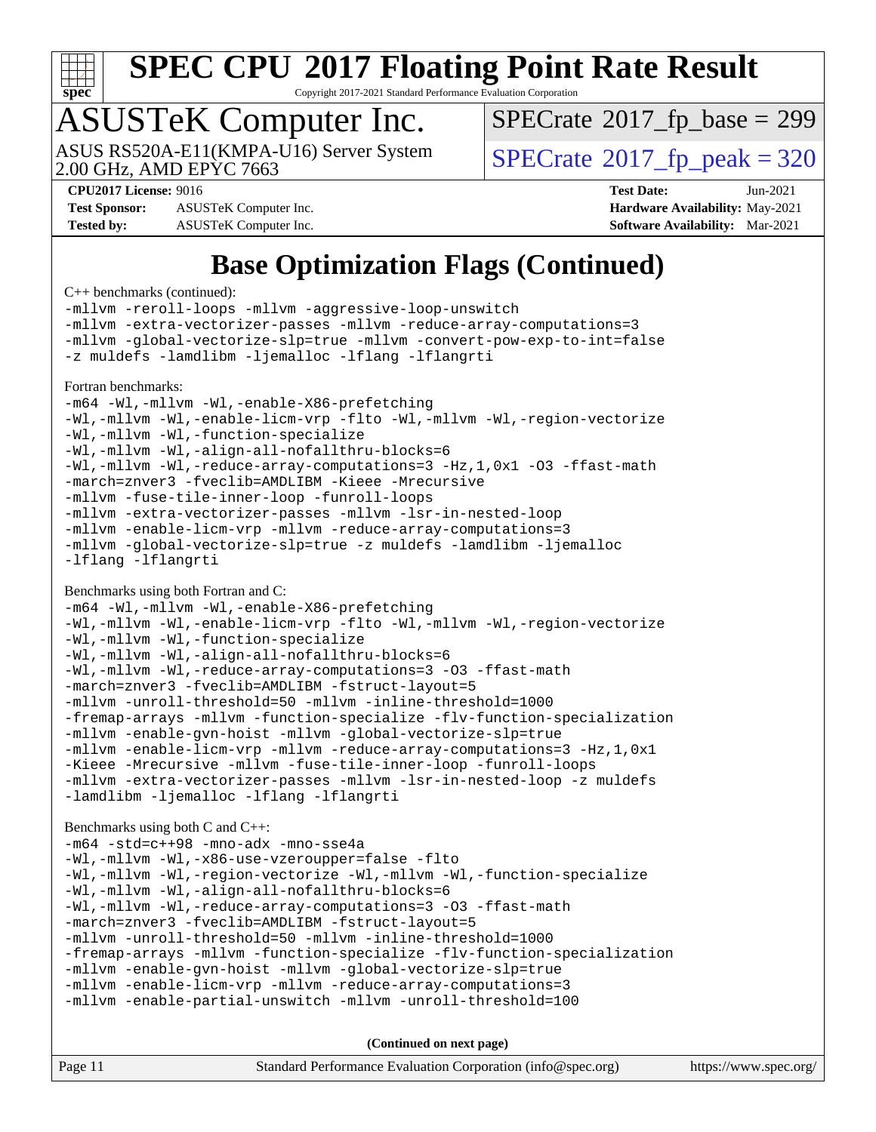

Copyright 2017-2021 Standard Performance Evaluation Corporation

### ASUSTeK Computer Inc.

ASUS RS520A-E11(KMPA-U16) Server System<br>2.00 GHz, AMD EPYC 7663

 $SPECTate$ <sup>®</sup>[2017\\_fp\\_base =](http://www.spec.org/auto/cpu2017/Docs/result-fields.html#SPECrate2017fpbase) 299

 $SPECTate<sup>®</sup>2017<sub>__</sub>fp<sub>__</sub>peak = 320$ 

**[Test Sponsor:](http://www.spec.org/auto/cpu2017/Docs/result-fields.html#TestSponsor)** ASUSTeK Computer Inc. **[Hardware Availability:](http://www.spec.org/auto/cpu2017/Docs/result-fields.html#HardwareAvailability)** May-2021 **[Tested by:](http://www.spec.org/auto/cpu2017/Docs/result-fields.html#Testedby)** ASUSTeK Computer Inc. **[Software Availability:](http://www.spec.org/auto/cpu2017/Docs/result-fields.html#SoftwareAvailability)** Mar-2021

**[CPU2017 License:](http://www.spec.org/auto/cpu2017/Docs/result-fields.html#CPU2017License)** 9016 **[Test Date:](http://www.spec.org/auto/cpu2017/Docs/result-fields.html#TestDate)** Jun-2021

### **[Base Optimization Flags \(Continued\)](http://www.spec.org/auto/cpu2017/Docs/result-fields.html#BaseOptimizationFlags)**

[C++ benchmarks](http://www.spec.org/auto/cpu2017/Docs/result-fields.html#CXXbenchmarks) (continued):

[-mllvm -reroll-loops](http://www.spec.org/cpu2017/results/res2021q3/cpu2017-20210705-27718.flags.html#user_CXXbase_F-reroll-loops) [-mllvm -aggressive-loop-unswitch](http://www.spec.org/cpu2017/results/res2021q3/cpu2017-20210705-27718.flags.html#user_CXXbase_F-aggressive-loop-unswitch_abd8177005d493f9a81f88ae32814acdc0422950e54bc53b0605c538e2e7549eb43d48c826089056b98aa2f0c142dc7ed1401fa1c97db9286a8c3ff748437b59) [-mllvm -extra-vectorizer-passes](http://www.spec.org/cpu2017/results/res2021q3/cpu2017-20210705-27718.flags.html#user_CXXbase_F-extra-vectorizer-passes_4bb9f90681e045f5ce38050c5c48e52c5a95ed819cbc44e12f6b389a91a38f1bfb7d9f51b06906bf2bd7ccd881019f6383c418982c71e3a142c10a060056d555) [-mllvm -reduce-array-computations=3](http://www.spec.org/cpu2017/results/res2021q3/cpu2017-20210705-27718.flags.html#user_CXXbase_F-reduce-array-computations) [-mllvm -global-vectorize-slp=true](http://www.spec.org/cpu2017/results/res2021q3/cpu2017-20210705-27718.flags.html#user_CXXbase_F-global-vectorize-slp_f701c289ed3fc79483844cad3672606d268e3123d2651e764a36e57810b634b30ff7af25c43ce4288d0e4c1cc47ba156fce6ed971bc0d0e53c4c557f353d3dec) [-mllvm -convert-pow-exp-to-int=false](http://www.spec.org/cpu2017/results/res2021q3/cpu2017-20210705-27718.flags.html#user_CXXbase_F-convert-pow-exp-to-int_48075d7f300181d7350b7c152e089ba974e4acf53c583458eae87b0ecd6f9aa5a8546e2797aca77a784d497b972647cfd65b81c02996ee1106af5ba1043433c1) [-z muldefs](http://www.spec.org/cpu2017/results/res2021q3/cpu2017-20210705-27718.flags.html#user_CXXbase_aocc-muldefs) [-lamdlibm](http://www.spec.org/cpu2017/results/res2021q3/cpu2017-20210705-27718.flags.html#user_CXXbase_F-lamdlibm) [-ljemalloc](http://www.spec.org/cpu2017/results/res2021q3/cpu2017-20210705-27718.flags.html#user_CXXbase_jemalloc-lib) [-lflang](http://www.spec.org/cpu2017/results/res2021q3/cpu2017-20210705-27718.flags.html#user_CXXbase_F-lflang) [-lflangrti](http://www.spec.org/cpu2017/results/res2021q3/cpu2017-20210705-27718.flags.html#user_CXXbase_F-lflangrti) [Fortran benchmarks](http://www.spec.org/auto/cpu2017/Docs/result-fields.html#Fortranbenchmarks): [-m64](http://www.spec.org/cpu2017/results/res2021q3/cpu2017-20210705-27718.flags.html#user_FCbase_F-m64) [-Wl,-mllvm -Wl,-enable-X86-prefetching](http://www.spec.org/cpu2017/results/res2021q3/cpu2017-20210705-27718.flags.html#user_FCbase_F-enable-X86-prefetching_362de7b2f7f327d498ff3502bcaa6d8937de40fbbc59a600e539433e6b2cb9ea5e30d4a00c3465ce74a160670b5fcaffd57d10fdc90b0d7ee2c6f387a6bf1aee) [-Wl,-mllvm -Wl,-enable-licm-vrp](http://www.spec.org/cpu2017/results/res2021q3/cpu2017-20210705-27718.flags.html#user_FCbase_F-enable-licm-vrp_65c4fc69039207ec88421e1591ba3bbf2ac715c2f390cac268ece6f40ae7757bd65f971ef38c9b70aedd2bf37e4037d3d64a7fe88db6aed78b6f244274772259) [-flto](http://www.spec.org/cpu2017/results/res2021q3/cpu2017-20210705-27718.flags.html#user_FCbase_aocc-flto) [-Wl,-mllvm -Wl,-region-vectorize](http://www.spec.org/cpu2017/results/res2021q3/cpu2017-20210705-27718.flags.html#user_FCbase_F-region-vectorize_fb6c6b5aa293c88efc6c7c2b52b20755e943585b1fe8658c35afef78727fff56e1a56891413c30e36b8e2a6f9a71126986319243e80eb6110b78b288f533c52b) [-Wl,-mllvm -Wl,-function-specialize](http://www.spec.org/cpu2017/results/res2021q3/cpu2017-20210705-27718.flags.html#user_FCbase_F-function-specialize_7e7e661e57922243ee67c9a1251cb8910e607325179a0ce7f2884e09a6f5d4a5ef0ae4f37e8a2a11c95fc48e931f06dc2b6016f14b511fcb441e048bef1b065a) [-Wl,-mllvm -Wl,-align-all-nofallthru-blocks=6](http://www.spec.org/cpu2017/results/res2021q3/cpu2017-20210705-27718.flags.html#user_FCbase_F-align-all-nofallthru-blocks) [-Wl,-mllvm -Wl,-reduce-array-computations=3](http://www.spec.org/cpu2017/results/res2021q3/cpu2017-20210705-27718.flags.html#user_FCbase_F-reduce-array-computations_b882aefe7a5dda4e33149f6299762b9a720dace3e498e13756f4c04e5a19edf5315c1f3993de2e61ec41e8c206231f84e05da7040e1bb5d69ba27d10a12507e4) [-Hz,1,0x1](http://www.spec.org/cpu2017/results/res2021q3/cpu2017-20210705-27718.flags.html#user_FCbase_F-save-array-metadata) [-O3](http://www.spec.org/cpu2017/results/res2021q3/cpu2017-20210705-27718.flags.html#user_FCbase_F-O3) [-ffast-math](http://www.spec.org/cpu2017/results/res2021q3/cpu2017-20210705-27718.flags.html#user_FCbase_aocc-ffast-math) [-march=znver3](http://www.spec.org/cpu2017/results/res2021q3/cpu2017-20210705-27718.flags.html#user_FCbase_aocc-march) [-fveclib=AMDLIBM](http://www.spec.org/cpu2017/results/res2021q3/cpu2017-20210705-27718.flags.html#user_FCbase_F-fveclib) [-Kieee](http://www.spec.org/cpu2017/results/res2021q3/cpu2017-20210705-27718.flags.html#user_FCbase_F-kieee) [-Mrecursive](http://www.spec.org/cpu2017/results/res2021q3/cpu2017-20210705-27718.flags.html#user_FCbase_F-mrecursive) [-mllvm -fuse-tile-inner-loop](http://www.spec.org/cpu2017/results/res2021q3/cpu2017-20210705-27718.flags.html#user_FCbase_F-fuse-tile-inner-loop_a96ec74f3ab7113ca948afab2f7df720fdaa7c20bd316986c0fe40ef5f82f2613ee26bde25c6cf421f527cd549c2b0b12b7e2cdf22e7a5a52600673d8851f1df) [-funroll-loops](http://www.spec.org/cpu2017/results/res2021q3/cpu2017-20210705-27718.flags.html#user_FCbase_aocc-unroll-loops) [-mllvm -extra-vectorizer-passes](http://www.spec.org/cpu2017/results/res2021q3/cpu2017-20210705-27718.flags.html#user_FCbase_F-extra-vectorizer-passes_4bb9f90681e045f5ce38050c5c48e52c5a95ed819cbc44e12f6b389a91a38f1bfb7d9f51b06906bf2bd7ccd881019f6383c418982c71e3a142c10a060056d555) [-mllvm -lsr-in-nested-loop](http://www.spec.org/cpu2017/results/res2021q3/cpu2017-20210705-27718.flags.html#user_FCbase_F-lsr-in-nested-loop_73f878522b3ccb742989d8e6de767863b372c2128b38f859376ee3fb883bc58dcc0955f53f856eb534bcc3be9d53927141e78ef6b7f1398bb0518a7b833043eb) [-mllvm -enable-licm-vrp](http://www.spec.org/cpu2017/results/res2021q3/cpu2017-20210705-27718.flags.html#user_FCbase_F-enable-licm-vrp_82fd83574dee81d8c8043a1355024a53ba7c23d449242d72368fd778ae4cd8625fb6c8e473e88c632367ccc13b0c321b9a13b8db897fcfc1592cf0205fd356b5) [-mllvm -reduce-array-computations=3](http://www.spec.org/cpu2017/results/res2021q3/cpu2017-20210705-27718.flags.html#user_FCbase_F-reduce-array-computations) [-mllvm -global-vectorize-slp=true](http://www.spec.org/cpu2017/results/res2021q3/cpu2017-20210705-27718.flags.html#user_FCbase_F-global-vectorize-slp_f701c289ed3fc79483844cad3672606d268e3123d2651e764a36e57810b634b30ff7af25c43ce4288d0e4c1cc47ba156fce6ed971bc0d0e53c4c557f353d3dec) [-z muldefs](http://www.spec.org/cpu2017/results/res2021q3/cpu2017-20210705-27718.flags.html#user_FCbase_aocc-muldefs) [-lamdlibm](http://www.spec.org/cpu2017/results/res2021q3/cpu2017-20210705-27718.flags.html#user_FCbase_F-lamdlibm) [-ljemalloc](http://www.spec.org/cpu2017/results/res2021q3/cpu2017-20210705-27718.flags.html#user_FCbase_jemalloc-lib) [-lflang](http://www.spec.org/cpu2017/results/res2021q3/cpu2017-20210705-27718.flags.html#user_FCbase_F-lflang) [-lflangrti](http://www.spec.org/cpu2017/results/res2021q3/cpu2017-20210705-27718.flags.html#user_FCbase_F-lflangrti) [Benchmarks using both Fortran and C](http://www.spec.org/auto/cpu2017/Docs/result-fields.html#BenchmarksusingbothFortranandC): [-m64](http://www.spec.org/cpu2017/results/res2021q3/cpu2017-20210705-27718.flags.html#user_CC_FCbase_F-m64) [-Wl,-mllvm -Wl,-enable-X86-prefetching](http://www.spec.org/cpu2017/results/res2021q3/cpu2017-20210705-27718.flags.html#user_CC_FCbase_F-enable-X86-prefetching_362de7b2f7f327d498ff3502bcaa6d8937de40fbbc59a600e539433e6b2cb9ea5e30d4a00c3465ce74a160670b5fcaffd57d10fdc90b0d7ee2c6f387a6bf1aee) [-Wl,-mllvm -Wl,-enable-licm-vrp](http://www.spec.org/cpu2017/results/res2021q3/cpu2017-20210705-27718.flags.html#user_CC_FCbase_F-enable-licm-vrp_65c4fc69039207ec88421e1591ba3bbf2ac715c2f390cac268ece6f40ae7757bd65f971ef38c9b70aedd2bf37e4037d3d64a7fe88db6aed78b6f244274772259) [-flto](http://www.spec.org/cpu2017/results/res2021q3/cpu2017-20210705-27718.flags.html#user_CC_FCbase_aocc-flto) [-Wl,-mllvm -Wl,-region-vectorize](http://www.spec.org/cpu2017/results/res2021q3/cpu2017-20210705-27718.flags.html#user_CC_FCbase_F-region-vectorize_fb6c6b5aa293c88efc6c7c2b52b20755e943585b1fe8658c35afef78727fff56e1a56891413c30e36b8e2a6f9a71126986319243e80eb6110b78b288f533c52b) [-Wl,-mllvm -Wl,-function-specialize](http://www.spec.org/cpu2017/results/res2021q3/cpu2017-20210705-27718.flags.html#user_CC_FCbase_F-function-specialize_7e7e661e57922243ee67c9a1251cb8910e607325179a0ce7f2884e09a6f5d4a5ef0ae4f37e8a2a11c95fc48e931f06dc2b6016f14b511fcb441e048bef1b065a) [-Wl,-mllvm -Wl,-align-all-nofallthru-blocks=6](http://www.spec.org/cpu2017/results/res2021q3/cpu2017-20210705-27718.flags.html#user_CC_FCbase_F-align-all-nofallthru-blocks) [-Wl,-mllvm -Wl,-reduce-array-computations=3](http://www.spec.org/cpu2017/results/res2021q3/cpu2017-20210705-27718.flags.html#user_CC_FCbase_F-reduce-array-computations_b882aefe7a5dda4e33149f6299762b9a720dace3e498e13756f4c04e5a19edf5315c1f3993de2e61ec41e8c206231f84e05da7040e1bb5d69ba27d10a12507e4) [-O3](http://www.spec.org/cpu2017/results/res2021q3/cpu2017-20210705-27718.flags.html#user_CC_FCbase_F-O3) [-ffast-math](http://www.spec.org/cpu2017/results/res2021q3/cpu2017-20210705-27718.flags.html#user_CC_FCbase_aocc-ffast-math) [-march=znver3](http://www.spec.org/cpu2017/results/res2021q3/cpu2017-20210705-27718.flags.html#user_CC_FCbase_aocc-march) [-fveclib=AMDLIBM](http://www.spec.org/cpu2017/results/res2021q3/cpu2017-20210705-27718.flags.html#user_CC_FCbase_F-fveclib) [-fstruct-layout=5](http://www.spec.org/cpu2017/results/res2021q3/cpu2017-20210705-27718.flags.html#user_CC_FCbase_F-struct-layout) [-mllvm -unroll-threshold=50](http://www.spec.org/cpu2017/results/res2021q3/cpu2017-20210705-27718.flags.html#user_CC_FCbase_F-unroll-threshold_458874500b2c105d6d5cb4d7a611c40e2b16e9e3d26b355fea72d644c3673b4de4b3932662f0ed3dbec75c491a13da2d2ca81180bd779dc531083ef1e1e549dc) [-mllvm -inline-threshold=1000](http://www.spec.org/cpu2017/results/res2021q3/cpu2017-20210705-27718.flags.html#user_CC_FCbase_F-inline-threshold_b7832241b0a6397e4ecdbaf0eb7defdc10f885c2a282fa3240fdc99844d543fda39cf8a4a9dccf68cf19b5438ac3b455264f478df15da0f4988afa40d8243bab) [-fremap-arrays](http://www.spec.org/cpu2017/results/res2021q3/cpu2017-20210705-27718.flags.html#user_CC_FCbase_F-fremap-arrays) [-mllvm -function-specialize](http://www.spec.org/cpu2017/results/res2021q3/cpu2017-20210705-27718.flags.html#user_CC_FCbase_F-function-specialize_233b3bdba86027f1b094368157e481c5bc59f40286dc25bfadc1858dcd5745c24fd30d5f188710db7fea399bcc9f44a80b3ce3aacc70a8870250c3ae5e1f35b8) [-flv-function-specialization](http://www.spec.org/cpu2017/results/res2021q3/cpu2017-20210705-27718.flags.html#user_CC_FCbase_F-flv-function-specialization) [-mllvm -enable-gvn-hoist](http://www.spec.org/cpu2017/results/res2021q3/cpu2017-20210705-27718.flags.html#user_CC_FCbase_F-enable-gvn-hoist_e5856354646dd6ca1333a0ad99b817e4cf8932b91b82809fd8fd47ceff7b22a89eba5c98fd3e3fa5200368fd772cec3dd56abc3c8f7b655a71b9f9848dddedd5) [-mllvm -global-vectorize-slp=true](http://www.spec.org/cpu2017/results/res2021q3/cpu2017-20210705-27718.flags.html#user_CC_FCbase_F-global-vectorize-slp_f701c289ed3fc79483844cad3672606d268e3123d2651e764a36e57810b634b30ff7af25c43ce4288d0e4c1cc47ba156fce6ed971bc0d0e53c4c557f353d3dec) [-mllvm -enable-licm-vrp](http://www.spec.org/cpu2017/results/res2021q3/cpu2017-20210705-27718.flags.html#user_CC_FCbase_F-enable-licm-vrp_82fd83574dee81d8c8043a1355024a53ba7c23d449242d72368fd778ae4cd8625fb6c8e473e88c632367ccc13b0c321b9a13b8db897fcfc1592cf0205fd356b5) [-mllvm -reduce-array-computations=3](http://www.spec.org/cpu2017/results/res2021q3/cpu2017-20210705-27718.flags.html#user_CC_FCbase_F-reduce-array-computations) [-Hz,1,0x1](http://www.spec.org/cpu2017/results/res2021q3/cpu2017-20210705-27718.flags.html#user_CC_FCbase_F-save-array-metadata) [-Kieee](http://www.spec.org/cpu2017/results/res2021q3/cpu2017-20210705-27718.flags.html#user_CC_FCbase_F-kieee) [-Mrecursive](http://www.spec.org/cpu2017/results/res2021q3/cpu2017-20210705-27718.flags.html#user_CC_FCbase_F-mrecursive) [-mllvm -fuse-tile-inner-loop](http://www.spec.org/cpu2017/results/res2021q3/cpu2017-20210705-27718.flags.html#user_CC_FCbase_F-fuse-tile-inner-loop_a96ec74f3ab7113ca948afab2f7df720fdaa7c20bd316986c0fe40ef5f82f2613ee26bde25c6cf421f527cd549c2b0b12b7e2cdf22e7a5a52600673d8851f1df) [-funroll-loops](http://www.spec.org/cpu2017/results/res2021q3/cpu2017-20210705-27718.flags.html#user_CC_FCbase_aocc-unroll-loops) [-mllvm -extra-vectorizer-passes](http://www.spec.org/cpu2017/results/res2021q3/cpu2017-20210705-27718.flags.html#user_CC_FCbase_F-extra-vectorizer-passes_4bb9f90681e045f5ce38050c5c48e52c5a95ed819cbc44e12f6b389a91a38f1bfb7d9f51b06906bf2bd7ccd881019f6383c418982c71e3a142c10a060056d555) [-mllvm -lsr-in-nested-loop](http://www.spec.org/cpu2017/results/res2021q3/cpu2017-20210705-27718.flags.html#user_CC_FCbase_F-lsr-in-nested-loop_73f878522b3ccb742989d8e6de767863b372c2128b38f859376ee3fb883bc58dcc0955f53f856eb534bcc3be9d53927141e78ef6b7f1398bb0518a7b833043eb) [-z muldefs](http://www.spec.org/cpu2017/results/res2021q3/cpu2017-20210705-27718.flags.html#user_CC_FCbase_aocc-muldefs) [-lamdlibm](http://www.spec.org/cpu2017/results/res2021q3/cpu2017-20210705-27718.flags.html#user_CC_FCbase_F-lamdlibm) [-ljemalloc](http://www.spec.org/cpu2017/results/res2021q3/cpu2017-20210705-27718.flags.html#user_CC_FCbase_jemalloc-lib) [-lflang](http://www.spec.org/cpu2017/results/res2021q3/cpu2017-20210705-27718.flags.html#user_CC_FCbase_F-lflang) [-lflangrti](http://www.spec.org/cpu2017/results/res2021q3/cpu2017-20210705-27718.flags.html#user_CC_FCbase_F-lflangrti) [Benchmarks using both C and C++](http://www.spec.org/auto/cpu2017/Docs/result-fields.html#BenchmarksusingbothCandCXX): [-m64](http://www.spec.org/cpu2017/results/res2021q3/cpu2017-20210705-27718.flags.html#user_CC_CXXbase_F-m64) [-std=c++98](http://www.spec.org/cpu2017/results/res2021q3/cpu2017-20210705-27718.flags.html#user_CC_CXXbase_std-cpp) [-mno-adx](http://www.spec.org/cpu2017/results/res2021q3/cpu2017-20210705-27718.flags.html#user_CC_CXXbase_F-mno-adx) [-mno-sse4a](http://www.spec.org/cpu2017/results/res2021q3/cpu2017-20210705-27718.flags.html#user_CC_CXXbase_F-mno-sse4a) [-Wl,-mllvm -Wl,-x86-use-vzeroupper=false](http://www.spec.org/cpu2017/results/res2021q3/cpu2017-20210705-27718.flags.html#user_CC_CXXbase_F-use-vzeroupper_f792211b0552b0142c11cf651c85f88d7eca3e3e6d4ab29ab8b0b7be9c7d83df7aebb846b5dded1424ec84d39acb59d058815f97bc3ae9de4ba00ee4e2945c83) [-flto](http://www.spec.org/cpu2017/results/res2021q3/cpu2017-20210705-27718.flags.html#user_CC_CXXbase_aocc-flto) [-Wl,-mllvm -Wl,-region-vectorize](http://www.spec.org/cpu2017/results/res2021q3/cpu2017-20210705-27718.flags.html#user_CC_CXXbase_F-region-vectorize_fb6c6b5aa293c88efc6c7c2b52b20755e943585b1fe8658c35afef78727fff56e1a56891413c30e36b8e2a6f9a71126986319243e80eb6110b78b288f533c52b) [-Wl,-mllvm -Wl,-function-specialize](http://www.spec.org/cpu2017/results/res2021q3/cpu2017-20210705-27718.flags.html#user_CC_CXXbase_F-function-specialize_7e7e661e57922243ee67c9a1251cb8910e607325179a0ce7f2884e09a6f5d4a5ef0ae4f37e8a2a11c95fc48e931f06dc2b6016f14b511fcb441e048bef1b065a) [-Wl,-mllvm -Wl,-align-all-nofallthru-blocks=6](http://www.spec.org/cpu2017/results/res2021q3/cpu2017-20210705-27718.flags.html#user_CC_CXXbase_F-align-all-nofallthru-blocks) [-Wl,-mllvm -Wl,-reduce-array-computations=3](http://www.spec.org/cpu2017/results/res2021q3/cpu2017-20210705-27718.flags.html#user_CC_CXXbase_F-reduce-array-computations_b882aefe7a5dda4e33149f6299762b9a720dace3e498e13756f4c04e5a19edf5315c1f3993de2e61ec41e8c206231f84e05da7040e1bb5d69ba27d10a12507e4) [-O3](http://www.spec.org/cpu2017/results/res2021q3/cpu2017-20210705-27718.flags.html#user_CC_CXXbase_F-O3) [-ffast-math](http://www.spec.org/cpu2017/results/res2021q3/cpu2017-20210705-27718.flags.html#user_CC_CXXbase_aocc-ffast-math) [-march=znver3](http://www.spec.org/cpu2017/results/res2021q3/cpu2017-20210705-27718.flags.html#user_CC_CXXbase_aocc-march) [-fveclib=AMDLIBM](http://www.spec.org/cpu2017/results/res2021q3/cpu2017-20210705-27718.flags.html#user_CC_CXXbase_F-fveclib) [-fstruct-layout=5](http://www.spec.org/cpu2017/results/res2021q3/cpu2017-20210705-27718.flags.html#user_CC_CXXbase_F-struct-layout) [-mllvm -unroll-threshold=50](http://www.spec.org/cpu2017/results/res2021q3/cpu2017-20210705-27718.flags.html#user_CC_CXXbase_F-unroll-threshold_458874500b2c105d6d5cb4d7a611c40e2b16e9e3d26b355fea72d644c3673b4de4b3932662f0ed3dbec75c491a13da2d2ca81180bd779dc531083ef1e1e549dc) [-mllvm -inline-threshold=1000](http://www.spec.org/cpu2017/results/res2021q3/cpu2017-20210705-27718.flags.html#user_CC_CXXbase_F-inline-threshold_b7832241b0a6397e4ecdbaf0eb7defdc10f885c2a282fa3240fdc99844d543fda39cf8a4a9dccf68cf19b5438ac3b455264f478df15da0f4988afa40d8243bab) [-fremap-arrays](http://www.spec.org/cpu2017/results/res2021q3/cpu2017-20210705-27718.flags.html#user_CC_CXXbase_F-fremap-arrays) [-mllvm -function-specialize](http://www.spec.org/cpu2017/results/res2021q3/cpu2017-20210705-27718.flags.html#user_CC_CXXbase_F-function-specialize_233b3bdba86027f1b094368157e481c5bc59f40286dc25bfadc1858dcd5745c24fd30d5f188710db7fea399bcc9f44a80b3ce3aacc70a8870250c3ae5e1f35b8) [-flv-function-specialization](http://www.spec.org/cpu2017/results/res2021q3/cpu2017-20210705-27718.flags.html#user_CC_CXXbase_F-flv-function-specialization) [-mllvm -enable-gvn-hoist](http://www.spec.org/cpu2017/results/res2021q3/cpu2017-20210705-27718.flags.html#user_CC_CXXbase_F-enable-gvn-hoist_e5856354646dd6ca1333a0ad99b817e4cf8932b91b82809fd8fd47ceff7b22a89eba5c98fd3e3fa5200368fd772cec3dd56abc3c8f7b655a71b9f9848dddedd5) [-mllvm -global-vectorize-slp=true](http://www.spec.org/cpu2017/results/res2021q3/cpu2017-20210705-27718.flags.html#user_CC_CXXbase_F-global-vectorize-slp_f701c289ed3fc79483844cad3672606d268e3123d2651e764a36e57810b634b30ff7af25c43ce4288d0e4c1cc47ba156fce6ed971bc0d0e53c4c557f353d3dec) [-mllvm -enable-licm-vrp](http://www.spec.org/cpu2017/results/res2021q3/cpu2017-20210705-27718.flags.html#user_CC_CXXbase_F-enable-licm-vrp_82fd83574dee81d8c8043a1355024a53ba7c23d449242d72368fd778ae4cd8625fb6c8e473e88c632367ccc13b0c321b9a13b8db897fcfc1592cf0205fd356b5) [-mllvm -reduce-array-computations=3](http://www.spec.org/cpu2017/results/res2021q3/cpu2017-20210705-27718.flags.html#user_CC_CXXbase_F-reduce-array-computations) [-mllvm -enable-partial-unswitch](http://www.spec.org/cpu2017/results/res2021q3/cpu2017-20210705-27718.flags.html#user_CC_CXXbase_F-enable-partial-unswitch_6e1c33f981d77963b1eaf834973128a7f33ce3f8e27f54689656697a35e89dcc875281e0e6283d043e32f367dcb605ba0e307a92e830f7e326789fa6c61b35d3) [-mllvm -unroll-threshold=100](http://www.spec.org/cpu2017/results/res2021q3/cpu2017-20210705-27718.flags.html#user_CC_CXXbase_F-unroll-threshold)

**(Continued on next page)**

|  | Standard |
|--|----------|
|  |          |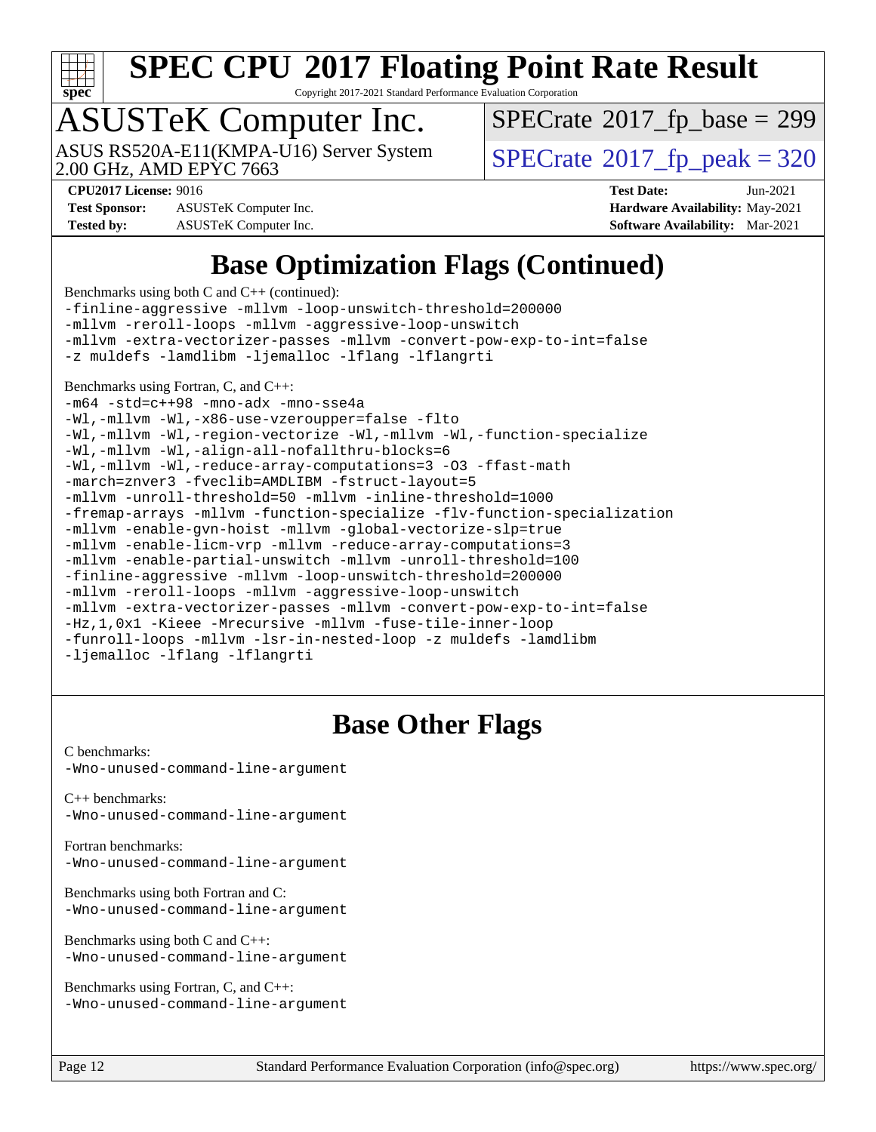

Copyright 2017-2021 Standard Performance Evaluation Corporation

### ASUSTeK Computer Inc.

ASUS RS520A-E11(KMPA-U16) Server System<br>2.00 GHz, AMD EPYC 7663

 $SPECTate$ <sup>®</sup>[2017\\_fp\\_base =](http://www.spec.org/auto/cpu2017/Docs/result-fields.html#SPECrate2017fpbase) 299

**[CPU2017 License:](http://www.spec.org/auto/cpu2017/Docs/result-fields.html#CPU2017License)** 9016 **[Test Date:](http://www.spec.org/auto/cpu2017/Docs/result-fields.html#TestDate)** Jun-2021

**[Test Sponsor:](http://www.spec.org/auto/cpu2017/Docs/result-fields.html#TestSponsor)** ASUSTeK Computer Inc. **[Hardware Availability:](http://www.spec.org/auto/cpu2017/Docs/result-fields.html#HardwareAvailability)** May-2021 **[Tested by:](http://www.spec.org/auto/cpu2017/Docs/result-fields.html#Testedby)** ASUSTeK Computer Inc. **[Software Availability:](http://www.spec.org/auto/cpu2017/Docs/result-fields.html#SoftwareAvailability)** Mar-2021

 $SPECTate<sup>®</sup>2017_fp_peak = 320$  $SPECTate<sup>®</sup>2017_fp_peak = 320$  $SPECTate<sup>®</sup>2017_fp_peak = 320$ 

### **[Base Optimization Flags \(Continued\)](http://www.spec.org/auto/cpu2017/Docs/result-fields.html#BaseOptimizationFlags)**

[Benchmarks using both C and C++](http://www.spec.org/auto/cpu2017/Docs/result-fields.html#BenchmarksusingbothCandCXX) (continued):

[-finline-aggressive](http://www.spec.org/cpu2017/results/res2021q3/cpu2017-20210705-27718.flags.html#user_CC_CXXbase_F-finline-aggressive) [-mllvm -loop-unswitch-threshold=200000](http://www.spec.org/cpu2017/results/res2021q3/cpu2017-20210705-27718.flags.html#user_CC_CXXbase_F-loop-unswitch-threshold_f9a82ae3270e55b5fbf79d0d96ee93606b73edbbe527d20b18b7bff1a3a146ad50cfc7454c5297978340ae9213029016a7d16221274d672d3f7f42ed25274e1d) [-mllvm -reroll-loops](http://www.spec.org/cpu2017/results/res2021q3/cpu2017-20210705-27718.flags.html#user_CC_CXXbase_F-reroll-loops) [-mllvm -aggressive-loop-unswitch](http://www.spec.org/cpu2017/results/res2021q3/cpu2017-20210705-27718.flags.html#user_CC_CXXbase_F-aggressive-loop-unswitch_abd8177005d493f9a81f88ae32814acdc0422950e54bc53b0605c538e2e7549eb43d48c826089056b98aa2f0c142dc7ed1401fa1c97db9286a8c3ff748437b59) [-mllvm -extra-vectorizer-passes](http://www.spec.org/cpu2017/results/res2021q3/cpu2017-20210705-27718.flags.html#user_CC_CXXbase_F-extra-vectorizer-passes_4bb9f90681e045f5ce38050c5c48e52c5a95ed819cbc44e12f6b389a91a38f1bfb7d9f51b06906bf2bd7ccd881019f6383c418982c71e3a142c10a060056d555) [-mllvm -convert-pow-exp-to-int=false](http://www.spec.org/cpu2017/results/res2021q3/cpu2017-20210705-27718.flags.html#user_CC_CXXbase_F-convert-pow-exp-to-int_48075d7f300181d7350b7c152e089ba974e4acf53c583458eae87b0ecd6f9aa5a8546e2797aca77a784d497b972647cfd65b81c02996ee1106af5ba1043433c1) [-z muldefs](http://www.spec.org/cpu2017/results/res2021q3/cpu2017-20210705-27718.flags.html#user_CC_CXXbase_aocc-muldefs) [-lamdlibm](http://www.spec.org/cpu2017/results/res2021q3/cpu2017-20210705-27718.flags.html#user_CC_CXXbase_F-lamdlibm) [-ljemalloc](http://www.spec.org/cpu2017/results/res2021q3/cpu2017-20210705-27718.flags.html#user_CC_CXXbase_jemalloc-lib) [-lflang](http://www.spec.org/cpu2017/results/res2021q3/cpu2017-20210705-27718.flags.html#user_CC_CXXbase_F-lflang) [-lflangrti](http://www.spec.org/cpu2017/results/res2021q3/cpu2017-20210705-27718.flags.html#user_CC_CXXbase_F-lflangrti)

#### [Benchmarks using Fortran, C, and C++:](http://www.spec.org/auto/cpu2017/Docs/result-fields.html#BenchmarksusingFortranCandCXX)

[-m64](http://www.spec.org/cpu2017/results/res2021q3/cpu2017-20210705-27718.flags.html#user_CC_CXX_FCbase_F-m64) [-std=c++98](http://www.spec.org/cpu2017/results/res2021q3/cpu2017-20210705-27718.flags.html#user_CC_CXX_FCbase_std-cpp) [-mno-adx](http://www.spec.org/cpu2017/results/res2021q3/cpu2017-20210705-27718.flags.html#user_CC_CXX_FCbase_F-mno-adx) [-mno-sse4a](http://www.spec.org/cpu2017/results/res2021q3/cpu2017-20210705-27718.flags.html#user_CC_CXX_FCbase_F-mno-sse4a) [-Wl,-mllvm -Wl,-x86-use-vzeroupper=false](http://www.spec.org/cpu2017/results/res2021q3/cpu2017-20210705-27718.flags.html#user_CC_CXX_FCbase_F-use-vzeroupper_f792211b0552b0142c11cf651c85f88d7eca3e3e6d4ab29ab8b0b7be9c7d83df7aebb846b5dded1424ec84d39acb59d058815f97bc3ae9de4ba00ee4e2945c83) [-flto](http://www.spec.org/cpu2017/results/res2021q3/cpu2017-20210705-27718.flags.html#user_CC_CXX_FCbase_aocc-flto) [-Wl,-mllvm -Wl,-region-vectorize](http://www.spec.org/cpu2017/results/res2021q3/cpu2017-20210705-27718.flags.html#user_CC_CXX_FCbase_F-region-vectorize_fb6c6b5aa293c88efc6c7c2b52b20755e943585b1fe8658c35afef78727fff56e1a56891413c30e36b8e2a6f9a71126986319243e80eb6110b78b288f533c52b) [-Wl,-mllvm -Wl,-function-specialize](http://www.spec.org/cpu2017/results/res2021q3/cpu2017-20210705-27718.flags.html#user_CC_CXX_FCbase_F-function-specialize_7e7e661e57922243ee67c9a1251cb8910e607325179a0ce7f2884e09a6f5d4a5ef0ae4f37e8a2a11c95fc48e931f06dc2b6016f14b511fcb441e048bef1b065a) [-Wl,-mllvm -Wl,-align-all-nofallthru-blocks=6](http://www.spec.org/cpu2017/results/res2021q3/cpu2017-20210705-27718.flags.html#user_CC_CXX_FCbase_F-align-all-nofallthru-blocks) [-Wl,-mllvm -Wl,-reduce-array-computations=3](http://www.spec.org/cpu2017/results/res2021q3/cpu2017-20210705-27718.flags.html#user_CC_CXX_FCbase_F-reduce-array-computations_b882aefe7a5dda4e33149f6299762b9a720dace3e498e13756f4c04e5a19edf5315c1f3993de2e61ec41e8c206231f84e05da7040e1bb5d69ba27d10a12507e4) [-O3](http://www.spec.org/cpu2017/results/res2021q3/cpu2017-20210705-27718.flags.html#user_CC_CXX_FCbase_F-O3) [-ffast-math](http://www.spec.org/cpu2017/results/res2021q3/cpu2017-20210705-27718.flags.html#user_CC_CXX_FCbase_aocc-ffast-math) [-march=znver3](http://www.spec.org/cpu2017/results/res2021q3/cpu2017-20210705-27718.flags.html#user_CC_CXX_FCbase_aocc-march) [-fveclib=AMDLIBM](http://www.spec.org/cpu2017/results/res2021q3/cpu2017-20210705-27718.flags.html#user_CC_CXX_FCbase_F-fveclib) [-fstruct-layout=5](http://www.spec.org/cpu2017/results/res2021q3/cpu2017-20210705-27718.flags.html#user_CC_CXX_FCbase_F-struct-layout) [-mllvm -unroll-threshold=50](http://www.spec.org/cpu2017/results/res2021q3/cpu2017-20210705-27718.flags.html#user_CC_CXX_FCbase_F-unroll-threshold_458874500b2c105d6d5cb4d7a611c40e2b16e9e3d26b355fea72d644c3673b4de4b3932662f0ed3dbec75c491a13da2d2ca81180bd779dc531083ef1e1e549dc) [-mllvm -inline-threshold=1000](http://www.spec.org/cpu2017/results/res2021q3/cpu2017-20210705-27718.flags.html#user_CC_CXX_FCbase_F-inline-threshold_b7832241b0a6397e4ecdbaf0eb7defdc10f885c2a282fa3240fdc99844d543fda39cf8a4a9dccf68cf19b5438ac3b455264f478df15da0f4988afa40d8243bab) [-fremap-arrays](http://www.spec.org/cpu2017/results/res2021q3/cpu2017-20210705-27718.flags.html#user_CC_CXX_FCbase_F-fremap-arrays) [-mllvm -function-specialize](http://www.spec.org/cpu2017/results/res2021q3/cpu2017-20210705-27718.flags.html#user_CC_CXX_FCbase_F-function-specialize_233b3bdba86027f1b094368157e481c5bc59f40286dc25bfadc1858dcd5745c24fd30d5f188710db7fea399bcc9f44a80b3ce3aacc70a8870250c3ae5e1f35b8) [-flv-function-specialization](http://www.spec.org/cpu2017/results/res2021q3/cpu2017-20210705-27718.flags.html#user_CC_CXX_FCbase_F-flv-function-specialization) [-mllvm -enable-gvn-hoist](http://www.spec.org/cpu2017/results/res2021q3/cpu2017-20210705-27718.flags.html#user_CC_CXX_FCbase_F-enable-gvn-hoist_e5856354646dd6ca1333a0ad99b817e4cf8932b91b82809fd8fd47ceff7b22a89eba5c98fd3e3fa5200368fd772cec3dd56abc3c8f7b655a71b9f9848dddedd5) [-mllvm -global-vectorize-slp=true](http://www.spec.org/cpu2017/results/res2021q3/cpu2017-20210705-27718.flags.html#user_CC_CXX_FCbase_F-global-vectorize-slp_f701c289ed3fc79483844cad3672606d268e3123d2651e764a36e57810b634b30ff7af25c43ce4288d0e4c1cc47ba156fce6ed971bc0d0e53c4c557f353d3dec) [-mllvm -enable-licm-vrp](http://www.spec.org/cpu2017/results/res2021q3/cpu2017-20210705-27718.flags.html#user_CC_CXX_FCbase_F-enable-licm-vrp_82fd83574dee81d8c8043a1355024a53ba7c23d449242d72368fd778ae4cd8625fb6c8e473e88c632367ccc13b0c321b9a13b8db897fcfc1592cf0205fd356b5) [-mllvm -reduce-array-computations=3](http://www.spec.org/cpu2017/results/res2021q3/cpu2017-20210705-27718.flags.html#user_CC_CXX_FCbase_F-reduce-array-computations) [-mllvm -enable-partial-unswitch](http://www.spec.org/cpu2017/results/res2021q3/cpu2017-20210705-27718.flags.html#user_CC_CXX_FCbase_F-enable-partial-unswitch_6e1c33f981d77963b1eaf834973128a7f33ce3f8e27f54689656697a35e89dcc875281e0e6283d043e32f367dcb605ba0e307a92e830f7e326789fa6c61b35d3) [-mllvm -unroll-threshold=100](http://www.spec.org/cpu2017/results/res2021q3/cpu2017-20210705-27718.flags.html#user_CC_CXX_FCbase_F-unroll-threshold) [-finline-aggressive](http://www.spec.org/cpu2017/results/res2021q3/cpu2017-20210705-27718.flags.html#user_CC_CXX_FCbase_F-finline-aggressive) [-mllvm -loop-unswitch-threshold=200000](http://www.spec.org/cpu2017/results/res2021q3/cpu2017-20210705-27718.flags.html#user_CC_CXX_FCbase_F-loop-unswitch-threshold_f9a82ae3270e55b5fbf79d0d96ee93606b73edbbe527d20b18b7bff1a3a146ad50cfc7454c5297978340ae9213029016a7d16221274d672d3f7f42ed25274e1d) [-mllvm -reroll-loops](http://www.spec.org/cpu2017/results/res2021q3/cpu2017-20210705-27718.flags.html#user_CC_CXX_FCbase_F-reroll-loops) [-mllvm -aggressive-loop-unswitch](http://www.spec.org/cpu2017/results/res2021q3/cpu2017-20210705-27718.flags.html#user_CC_CXX_FCbase_F-aggressive-loop-unswitch_abd8177005d493f9a81f88ae32814acdc0422950e54bc53b0605c538e2e7549eb43d48c826089056b98aa2f0c142dc7ed1401fa1c97db9286a8c3ff748437b59) [-mllvm -extra-vectorizer-passes](http://www.spec.org/cpu2017/results/res2021q3/cpu2017-20210705-27718.flags.html#user_CC_CXX_FCbase_F-extra-vectorizer-passes_4bb9f90681e045f5ce38050c5c48e52c5a95ed819cbc44e12f6b389a91a38f1bfb7d9f51b06906bf2bd7ccd881019f6383c418982c71e3a142c10a060056d555) [-mllvm -convert-pow-exp-to-int=false](http://www.spec.org/cpu2017/results/res2021q3/cpu2017-20210705-27718.flags.html#user_CC_CXX_FCbase_F-convert-pow-exp-to-int_48075d7f300181d7350b7c152e089ba974e4acf53c583458eae87b0ecd6f9aa5a8546e2797aca77a784d497b972647cfd65b81c02996ee1106af5ba1043433c1) [-Hz,1,0x1](http://www.spec.org/cpu2017/results/res2021q3/cpu2017-20210705-27718.flags.html#user_CC_CXX_FCbase_F-save-array-metadata) [-Kieee](http://www.spec.org/cpu2017/results/res2021q3/cpu2017-20210705-27718.flags.html#user_CC_CXX_FCbase_F-kieee) [-Mrecursive](http://www.spec.org/cpu2017/results/res2021q3/cpu2017-20210705-27718.flags.html#user_CC_CXX_FCbase_F-mrecursive) [-mllvm -fuse-tile-inner-loop](http://www.spec.org/cpu2017/results/res2021q3/cpu2017-20210705-27718.flags.html#user_CC_CXX_FCbase_F-fuse-tile-inner-loop_a96ec74f3ab7113ca948afab2f7df720fdaa7c20bd316986c0fe40ef5f82f2613ee26bde25c6cf421f527cd549c2b0b12b7e2cdf22e7a5a52600673d8851f1df) [-funroll-loops](http://www.spec.org/cpu2017/results/res2021q3/cpu2017-20210705-27718.flags.html#user_CC_CXX_FCbase_aocc-unroll-loops) [-mllvm -lsr-in-nested-loop](http://www.spec.org/cpu2017/results/res2021q3/cpu2017-20210705-27718.flags.html#user_CC_CXX_FCbase_F-lsr-in-nested-loop_73f878522b3ccb742989d8e6de767863b372c2128b38f859376ee3fb883bc58dcc0955f53f856eb534bcc3be9d53927141e78ef6b7f1398bb0518a7b833043eb) [-z muldefs](http://www.spec.org/cpu2017/results/res2021q3/cpu2017-20210705-27718.flags.html#user_CC_CXX_FCbase_aocc-muldefs) [-lamdlibm](http://www.spec.org/cpu2017/results/res2021q3/cpu2017-20210705-27718.flags.html#user_CC_CXX_FCbase_F-lamdlibm) [-ljemalloc](http://www.spec.org/cpu2017/results/res2021q3/cpu2017-20210705-27718.flags.html#user_CC_CXX_FCbase_jemalloc-lib) [-lflang](http://www.spec.org/cpu2017/results/res2021q3/cpu2017-20210705-27718.flags.html#user_CC_CXX_FCbase_F-lflang) [-lflangrti](http://www.spec.org/cpu2017/results/res2021q3/cpu2017-20210705-27718.flags.html#user_CC_CXX_FCbase_F-lflangrti)

#### **[Base Other Flags](http://www.spec.org/auto/cpu2017/Docs/result-fields.html#BaseOtherFlags)**

[C benchmarks](http://www.spec.org/auto/cpu2017/Docs/result-fields.html#Cbenchmarks): [-Wno-unused-command-line-argument](http://www.spec.org/cpu2017/results/res2021q3/cpu2017-20210705-27718.flags.html#user_CCbase_F-Wno-unused-command-line-argument)

[C++ benchmarks:](http://www.spec.org/auto/cpu2017/Docs/result-fields.html#CXXbenchmarks) [-Wno-unused-command-line-argument](http://www.spec.org/cpu2017/results/res2021q3/cpu2017-20210705-27718.flags.html#user_CXXbase_F-Wno-unused-command-line-argument)

[Fortran benchmarks](http://www.spec.org/auto/cpu2017/Docs/result-fields.html#Fortranbenchmarks): [-Wno-unused-command-line-argument](http://www.spec.org/cpu2017/results/res2021q3/cpu2017-20210705-27718.flags.html#user_FCbase_F-Wno-unused-command-line-argument)

[Benchmarks using both Fortran and C](http://www.spec.org/auto/cpu2017/Docs/result-fields.html#BenchmarksusingbothFortranandC): [-Wno-unused-command-line-argument](http://www.spec.org/cpu2017/results/res2021q3/cpu2017-20210705-27718.flags.html#user_CC_FCbase_F-Wno-unused-command-line-argument)

[Benchmarks using both C and C++](http://www.spec.org/auto/cpu2017/Docs/result-fields.html#BenchmarksusingbothCandCXX): [-Wno-unused-command-line-argument](http://www.spec.org/cpu2017/results/res2021q3/cpu2017-20210705-27718.flags.html#user_CC_CXXbase_F-Wno-unused-command-line-argument)

[Benchmarks using Fortran, C, and C++:](http://www.spec.org/auto/cpu2017/Docs/result-fields.html#BenchmarksusingFortranCandCXX) [-Wno-unused-command-line-argument](http://www.spec.org/cpu2017/results/res2021q3/cpu2017-20210705-27718.flags.html#user_CC_CXX_FCbase_F-Wno-unused-command-line-argument)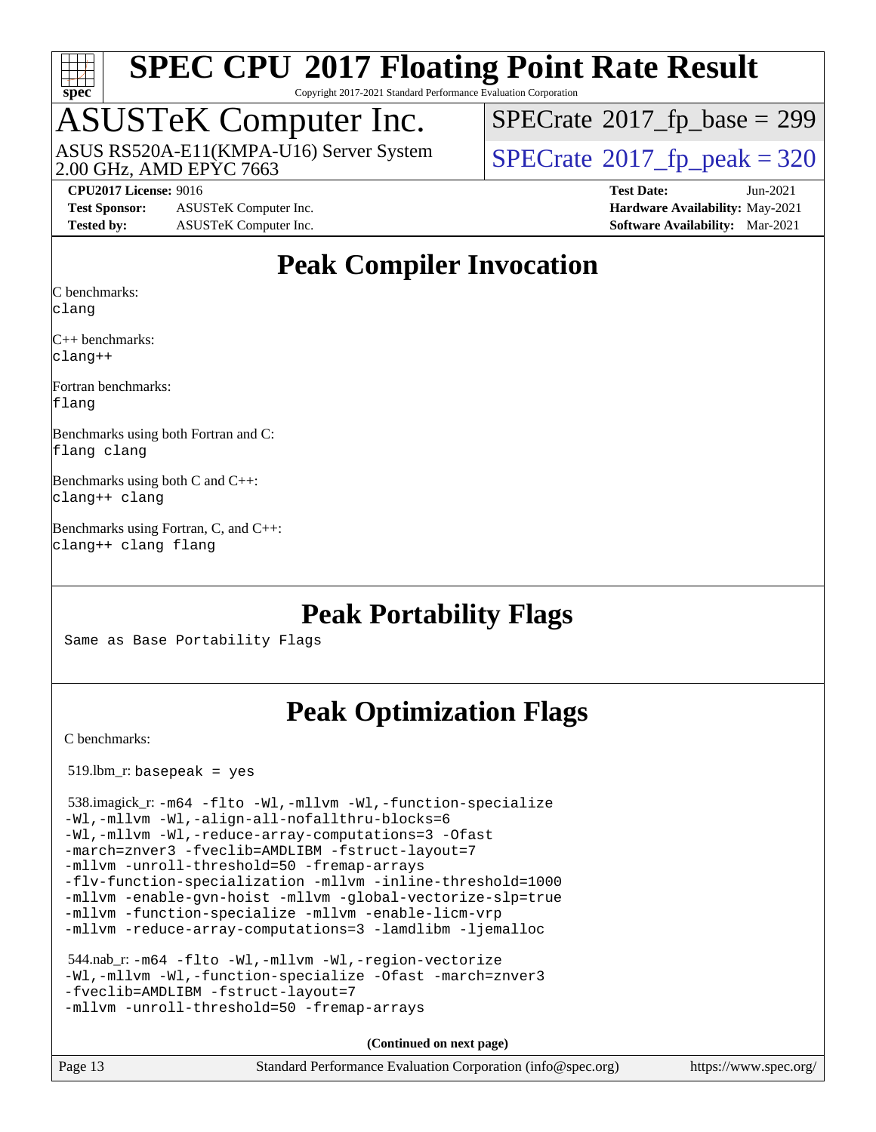

Copyright 2017-2021 Standard Performance Evaluation Corporation

### ASUSTeK Computer Inc.

ASUS RS520A-E11(KMPA-U16) Server System<br>2.00 GHz, AMD EPYC 7663

 $SPECTate$ <sup>®</sup>[2017\\_fp\\_base =](http://www.spec.org/auto/cpu2017/Docs/result-fields.html#SPECrate2017fpbase) 299

 $SPECTate<sup>®</sup>2017_fp_peak = 320$  $SPECTate<sup>®</sup>2017_fp_peak = 320$  $SPECTate<sup>®</sup>2017_fp_peak = 320$ 

**[Test Sponsor:](http://www.spec.org/auto/cpu2017/Docs/result-fields.html#TestSponsor)** ASUSTeK Computer Inc. **[Hardware Availability:](http://www.spec.org/auto/cpu2017/Docs/result-fields.html#HardwareAvailability)** May-2021 **[Tested by:](http://www.spec.org/auto/cpu2017/Docs/result-fields.html#Testedby)** ASUSTeK Computer Inc. **[Software Availability:](http://www.spec.org/auto/cpu2017/Docs/result-fields.html#SoftwareAvailability)** Mar-2021

**[CPU2017 License:](http://www.spec.org/auto/cpu2017/Docs/result-fields.html#CPU2017License)** 9016 **[Test Date:](http://www.spec.org/auto/cpu2017/Docs/result-fields.html#TestDate)** Jun-2021

#### **[Peak Compiler Invocation](http://www.spec.org/auto/cpu2017/Docs/result-fields.html#PeakCompilerInvocation)**

[C benchmarks](http://www.spec.org/auto/cpu2017/Docs/result-fields.html#Cbenchmarks): [clang](http://www.spec.org/cpu2017/results/res2021q3/cpu2017-20210705-27718.flags.html#user_CCpeak_clang-c)

[C++ benchmarks](http://www.spec.org/auto/cpu2017/Docs/result-fields.html#CXXbenchmarks): [clang++](http://www.spec.org/cpu2017/results/res2021q3/cpu2017-20210705-27718.flags.html#user_CXXpeak_clang-cpp)

[Fortran benchmarks:](http://www.spec.org/auto/cpu2017/Docs/result-fields.html#Fortranbenchmarks) [flang](http://www.spec.org/cpu2017/results/res2021q3/cpu2017-20210705-27718.flags.html#user_FCpeak_flang)

[Benchmarks using both Fortran and C](http://www.spec.org/auto/cpu2017/Docs/result-fields.html#BenchmarksusingbothFortranandC): [flang](http://www.spec.org/cpu2017/results/res2021q3/cpu2017-20210705-27718.flags.html#user_CC_FCpeak_flang) [clang](http://www.spec.org/cpu2017/results/res2021q3/cpu2017-20210705-27718.flags.html#user_CC_FCpeak_clang-c)

[Benchmarks using both C and C++:](http://www.spec.org/auto/cpu2017/Docs/result-fields.html#BenchmarksusingbothCandCXX) [clang++](http://www.spec.org/cpu2017/results/res2021q3/cpu2017-20210705-27718.flags.html#user_CC_CXXpeak_clang-cpp) [clang](http://www.spec.org/cpu2017/results/res2021q3/cpu2017-20210705-27718.flags.html#user_CC_CXXpeak_clang-c)

[Benchmarks using Fortran, C, and C++](http://www.spec.org/auto/cpu2017/Docs/result-fields.html#BenchmarksusingFortranCandCXX): [clang++](http://www.spec.org/cpu2017/results/res2021q3/cpu2017-20210705-27718.flags.html#user_CC_CXX_FCpeak_clang-cpp) [clang](http://www.spec.org/cpu2017/results/res2021q3/cpu2017-20210705-27718.flags.html#user_CC_CXX_FCpeak_clang-c) [flang](http://www.spec.org/cpu2017/results/res2021q3/cpu2017-20210705-27718.flags.html#user_CC_CXX_FCpeak_flang)

#### **[Peak Portability Flags](http://www.spec.org/auto/cpu2017/Docs/result-fields.html#PeakPortabilityFlags)**

Same as Base Portability Flags

#### **[Peak Optimization Flags](http://www.spec.org/auto/cpu2017/Docs/result-fields.html#PeakOptimizationFlags)**

[C benchmarks](http://www.spec.org/auto/cpu2017/Docs/result-fields.html#Cbenchmarks):

519.lbm\_r: basepeak = yes

```
 538.imagick_r: -m64 -flto -Wl,-mllvm -Wl,-function-specialize
-Wl,-mllvm -Wl,-align-all-nofallthru-blocks=6
-Wl,-mllvm -Wl,-reduce-array-computations=3 -Ofast
-march=znver3 -fveclib=AMDLIBM -fstruct-layout=7
-mllvm -unroll-threshold=50 -fremap-arrays
-flv-function-specialization -mllvm -inline-threshold=1000
-mllvm -enable-gvn-hoist -mllvm -global-vectorize-slp=true
-mllvm -function-specialize -mllvm -enable-licm-vrp
-mllvm -reduce-array-computations=3 -lamdlibm -ljemalloc
```

```
 544.nab_r: -m64 -flto -Wl,-mllvm -Wl,-region-vectorize
-Wl,-mllvm -Wl,-function-specialize -Ofast -march=znver3
-fveclib=AMDLIBM -fstruct-layout=7
-mllvm -unroll-threshold=50 -fremap-arrays
```
**(Continued on next page)**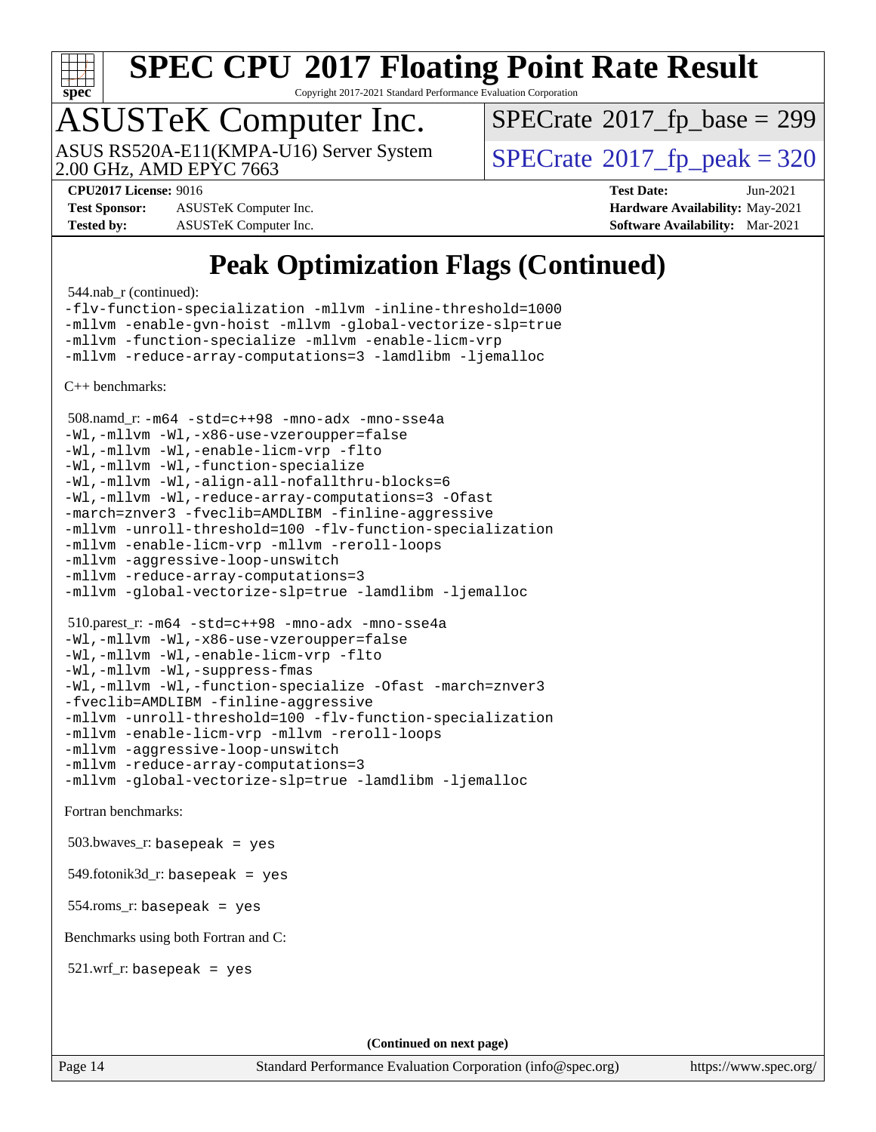

Copyright 2017-2021 Standard Performance Evaluation Corporation

### ASUSTeK Computer Inc.

2.00 GHz, AMD EPYC 7663 ASUS RS520A-E11(KMPA-U16) Server System  $\vert$  [SPECrate](http://www.spec.org/auto/cpu2017/Docs/result-fields.html#SPECrate2017fppeak)®[2017\\_fp\\_peak = 3](http://www.spec.org/auto/cpu2017/Docs/result-fields.html#SPECrate2017fppeak)20

 $SPECTate$ <sup>®</sup>[2017\\_fp\\_base =](http://www.spec.org/auto/cpu2017/Docs/result-fields.html#SPECrate2017fpbase) 299

**[Test Sponsor:](http://www.spec.org/auto/cpu2017/Docs/result-fields.html#TestSponsor)** ASUSTeK Computer Inc. **[Hardware Availability:](http://www.spec.org/auto/cpu2017/Docs/result-fields.html#HardwareAvailability)** May-2021 **[Tested by:](http://www.spec.org/auto/cpu2017/Docs/result-fields.html#Testedby)** ASUSTeK Computer Inc. **[Software Availability:](http://www.spec.org/auto/cpu2017/Docs/result-fields.html#SoftwareAvailability)** Mar-2021

**[CPU2017 License:](http://www.spec.org/auto/cpu2017/Docs/result-fields.html#CPU2017License)** 9016 **[Test Date:](http://www.spec.org/auto/cpu2017/Docs/result-fields.html#TestDate)** Jun-2021

### **[Peak Optimization Flags \(Continued\)](http://www.spec.org/auto/cpu2017/Docs/result-fields.html#PeakOptimizationFlags)**

544.nab\_r (continued):

[-flv-function-specialization](http://www.spec.org/cpu2017/results/res2021q3/cpu2017-20210705-27718.flags.html#user_peakCOPTIMIZE544_nab_r_F-flv-function-specialization) [-mllvm -inline-threshold=1000](http://www.spec.org/cpu2017/results/res2021q3/cpu2017-20210705-27718.flags.html#user_peakCOPTIMIZE544_nab_r_F-inline-threshold_b7832241b0a6397e4ecdbaf0eb7defdc10f885c2a282fa3240fdc99844d543fda39cf8a4a9dccf68cf19b5438ac3b455264f478df15da0f4988afa40d8243bab) [-mllvm -enable-gvn-hoist](http://www.spec.org/cpu2017/results/res2021q3/cpu2017-20210705-27718.flags.html#user_peakCOPTIMIZE544_nab_r_F-enable-gvn-hoist_e5856354646dd6ca1333a0ad99b817e4cf8932b91b82809fd8fd47ceff7b22a89eba5c98fd3e3fa5200368fd772cec3dd56abc3c8f7b655a71b9f9848dddedd5) [-mllvm -global-vectorize-slp=true](http://www.spec.org/cpu2017/results/res2021q3/cpu2017-20210705-27718.flags.html#user_peakCOPTIMIZE544_nab_r_F-global-vectorize-slp_f701c289ed3fc79483844cad3672606d268e3123d2651e764a36e57810b634b30ff7af25c43ce4288d0e4c1cc47ba156fce6ed971bc0d0e53c4c557f353d3dec) [-mllvm -function-specialize](http://www.spec.org/cpu2017/results/res2021q3/cpu2017-20210705-27718.flags.html#user_peakCOPTIMIZE544_nab_r_F-function-specialize_233b3bdba86027f1b094368157e481c5bc59f40286dc25bfadc1858dcd5745c24fd30d5f188710db7fea399bcc9f44a80b3ce3aacc70a8870250c3ae5e1f35b8) [-mllvm -enable-licm-vrp](http://www.spec.org/cpu2017/results/res2021q3/cpu2017-20210705-27718.flags.html#user_peakCOPTIMIZE544_nab_r_F-enable-licm-vrp_82fd83574dee81d8c8043a1355024a53ba7c23d449242d72368fd778ae4cd8625fb6c8e473e88c632367ccc13b0c321b9a13b8db897fcfc1592cf0205fd356b5) [-mllvm -reduce-array-computations=3](http://www.spec.org/cpu2017/results/res2021q3/cpu2017-20210705-27718.flags.html#user_peakCOPTIMIZE544_nab_r_F-reduce-array-computations) [-lamdlibm](http://www.spec.org/cpu2017/results/res2021q3/cpu2017-20210705-27718.flags.html#user_peakEXTRA_LIBS544_nab_r_F-lamdlibm) [-ljemalloc](http://www.spec.org/cpu2017/results/res2021q3/cpu2017-20210705-27718.flags.html#user_peakEXTRA_LIBS544_nab_r_jemalloc-lib)

[C++ benchmarks:](http://www.spec.org/auto/cpu2017/Docs/result-fields.html#CXXbenchmarks)

 508.namd\_r: [-m64](http://www.spec.org/cpu2017/results/res2021q3/cpu2017-20210705-27718.flags.html#user_peakCXXLD508_namd_r_F-m64) [-std=c++98](http://www.spec.org/cpu2017/results/res2021q3/cpu2017-20210705-27718.flags.html#user_peakCXX508_namd_r_std-cpp) [-mno-adx](http://www.spec.org/cpu2017/results/res2021q3/cpu2017-20210705-27718.flags.html#user_peakCXX508_namd_r_F-mno-adx) [-mno-sse4a](http://www.spec.org/cpu2017/results/res2021q3/cpu2017-20210705-27718.flags.html#user_peakCXX508_namd_r_F-mno-sse4a) [-Wl,-mllvm -Wl,-x86-use-vzeroupper=false](http://www.spec.org/cpu2017/results/res2021q3/cpu2017-20210705-27718.flags.html#user_peakLDCXXFLAGS508_namd_r_F-use-vzeroupper_f792211b0552b0142c11cf651c85f88d7eca3e3e6d4ab29ab8b0b7be9c7d83df7aebb846b5dded1424ec84d39acb59d058815f97bc3ae9de4ba00ee4e2945c83) [-Wl,-mllvm -Wl,-enable-licm-vrp](http://www.spec.org/cpu2017/results/res2021q3/cpu2017-20210705-27718.flags.html#user_peakLDCXXFLAGS508_namd_r_F-enable-licm-vrp_65c4fc69039207ec88421e1591ba3bbf2ac715c2f390cac268ece6f40ae7757bd65f971ef38c9b70aedd2bf37e4037d3d64a7fe88db6aed78b6f244274772259) [-flto](http://www.spec.org/cpu2017/results/res2021q3/cpu2017-20210705-27718.flags.html#user_peakCXXOPTIMIZEEXTRA_LDFLAGS508_namd_r_aocc-flto) [-Wl,-mllvm -Wl,-function-specialize](http://www.spec.org/cpu2017/results/res2021q3/cpu2017-20210705-27718.flags.html#user_peakEXTRA_LDFLAGS508_namd_r_F-function-specialize_7e7e661e57922243ee67c9a1251cb8910e607325179a0ce7f2884e09a6f5d4a5ef0ae4f37e8a2a11c95fc48e931f06dc2b6016f14b511fcb441e048bef1b065a) [-Wl,-mllvm -Wl,-align-all-nofallthru-blocks=6](http://www.spec.org/cpu2017/results/res2021q3/cpu2017-20210705-27718.flags.html#user_peakEXTRA_LDFLAGS508_namd_r_F-align-all-nofallthru-blocks) [-Wl,-mllvm -Wl,-reduce-array-computations=3](http://www.spec.org/cpu2017/results/res2021q3/cpu2017-20210705-27718.flags.html#user_peakEXTRA_LDFLAGS508_namd_r_F-reduce-array-computations_b882aefe7a5dda4e33149f6299762b9a720dace3e498e13756f4c04e5a19edf5315c1f3993de2e61ec41e8c206231f84e05da7040e1bb5d69ba27d10a12507e4) [-Ofast](http://www.spec.org/cpu2017/results/res2021q3/cpu2017-20210705-27718.flags.html#user_peakCXXOPTIMIZE508_namd_r_aocc-Ofast) [-march=znver3](http://www.spec.org/cpu2017/results/res2021q3/cpu2017-20210705-27718.flags.html#user_peakCXXOPTIMIZE508_namd_r_aocc-march) [-fveclib=AMDLIBM](http://www.spec.org/cpu2017/results/res2021q3/cpu2017-20210705-27718.flags.html#user_peakCXXOPTIMIZE508_namd_r_F-fveclib) [-finline-aggressive](http://www.spec.org/cpu2017/results/res2021q3/cpu2017-20210705-27718.flags.html#user_peakCXXOPTIMIZE508_namd_r_F-finline-aggressive) [-mllvm -unroll-threshold=100](http://www.spec.org/cpu2017/results/res2021q3/cpu2017-20210705-27718.flags.html#user_peakCXXOPTIMIZE508_namd_r_F-unroll-threshold) [-flv-function-specialization](http://www.spec.org/cpu2017/results/res2021q3/cpu2017-20210705-27718.flags.html#user_peakCXXOPTIMIZE508_namd_r_F-flv-function-specialization) [-mllvm -enable-licm-vrp](http://www.spec.org/cpu2017/results/res2021q3/cpu2017-20210705-27718.flags.html#user_peakCXXOPTIMIZE508_namd_r_F-enable-licm-vrp_82fd83574dee81d8c8043a1355024a53ba7c23d449242d72368fd778ae4cd8625fb6c8e473e88c632367ccc13b0c321b9a13b8db897fcfc1592cf0205fd356b5) [-mllvm -reroll-loops](http://www.spec.org/cpu2017/results/res2021q3/cpu2017-20210705-27718.flags.html#user_peakCXXOPTIMIZE508_namd_r_F-reroll-loops) [-mllvm -aggressive-loop-unswitch](http://www.spec.org/cpu2017/results/res2021q3/cpu2017-20210705-27718.flags.html#user_peakCXXOPTIMIZE508_namd_r_F-aggressive-loop-unswitch_abd8177005d493f9a81f88ae32814acdc0422950e54bc53b0605c538e2e7549eb43d48c826089056b98aa2f0c142dc7ed1401fa1c97db9286a8c3ff748437b59) [-mllvm -reduce-array-computations=3](http://www.spec.org/cpu2017/results/res2021q3/cpu2017-20210705-27718.flags.html#user_peakCXXOPTIMIZE508_namd_r_F-reduce-array-computations) [-mllvm -global-vectorize-slp=true](http://www.spec.org/cpu2017/results/res2021q3/cpu2017-20210705-27718.flags.html#user_peakCXXOPTIMIZE508_namd_r_F-global-vectorize-slp_f701c289ed3fc79483844cad3672606d268e3123d2651e764a36e57810b634b30ff7af25c43ce4288d0e4c1cc47ba156fce6ed971bc0d0e53c4c557f353d3dec) [-lamdlibm](http://www.spec.org/cpu2017/results/res2021q3/cpu2017-20210705-27718.flags.html#user_peakEXTRA_LIBS508_namd_r_F-lamdlibm) [-ljemalloc](http://www.spec.org/cpu2017/results/res2021q3/cpu2017-20210705-27718.flags.html#user_peakEXTRA_LIBS508_namd_r_jemalloc-lib) 510.parest\_r: [-m64](http://www.spec.org/cpu2017/results/res2021q3/cpu2017-20210705-27718.flags.html#user_peakCXXLD510_parest_r_F-m64) [-std=c++98](http://www.spec.org/cpu2017/results/res2021q3/cpu2017-20210705-27718.flags.html#user_peakCXX510_parest_r_std-cpp) [-mno-adx](http://www.spec.org/cpu2017/results/res2021q3/cpu2017-20210705-27718.flags.html#user_peakCXX510_parest_r_F-mno-adx) [-mno-sse4a](http://www.spec.org/cpu2017/results/res2021q3/cpu2017-20210705-27718.flags.html#user_peakCXX510_parest_r_F-mno-sse4a) [-Wl,-mllvm -Wl,-x86-use-vzeroupper=false](http://www.spec.org/cpu2017/results/res2021q3/cpu2017-20210705-27718.flags.html#user_peakLDCXXFLAGS510_parest_r_F-use-vzeroupper_f792211b0552b0142c11cf651c85f88d7eca3e3e6d4ab29ab8b0b7be9c7d83df7aebb846b5dded1424ec84d39acb59d058815f97bc3ae9de4ba00ee4e2945c83) [-Wl,-mllvm -Wl,-enable-licm-vrp](http://www.spec.org/cpu2017/results/res2021q3/cpu2017-20210705-27718.flags.html#user_peakLDCXXFLAGS510_parest_r_F-enable-licm-vrp_65c4fc69039207ec88421e1591ba3bbf2ac715c2f390cac268ece6f40ae7757bd65f971ef38c9b70aedd2bf37e4037d3d64a7fe88db6aed78b6f244274772259) [-flto](http://www.spec.org/cpu2017/results/res2021q3/cpu2017-20210705-27718.flags.html#user_peakCXXOPTIMIZEEXTRA_LDFLAGS510_parest_r_aocc-flto) [-Wl,-mllvm -Wl,-suppress-fmas](http://www.spec.org/cpu2017/results/res2021q3/cpu2017-20210705-27718.flags.html#user_peakEXTRA_LDFLAGS510_parest_r_F-suppress-fmas_f00f00630e4a059e8af9c161e9bbf420bcf19890a7f99d5933525e66aa4b0bb3ab2339d2b12d97d3a5f5d271e839fe9c109938e91fe06230fb53651590cfa1e8) [-Wl,-mllvm -Wl,-function-specialize](http://www.spec.org/cpu2017/results/res2021q3/cpu2017-20210705-27718.flags.html#user_peakEXTRA_LDFLAGS510_parest_r_F-function-specialize_7e7e661e57922243ee67c9a1251cb8910e607325179a0ce7f2884e09a6f5d4a5ef0ae4f37e8a2a11c95fc48e931f06dc2b6016f14b511fcb441e048bef1b065a) [-Ofast](http://www.spec.org/cpu2017/results/res2021q3/cpu2017-20210705-27718.flags.html#user_peakCXXOPTIMIZE510_parest_r_aocc-Ofast) [-march=znver3](http://www.spec.org/cpu2017/results/res2021q3/cpu2017-20210705-27718.flags.html#user_peakCXXOPTIMIZE510_parest_r_aocc-march) [-fveclib=AMDLIBM](http://www.spec.org/cpu2017/results/res2021q3/cpu2017-20210705-27718.flags.html#user_peakCXXOPTIMIZE510_parest_r_F-fveclib) [-finline-aggressive](http://www.spec.org/cpu2017/results/res2021q3/cpu2017-20210705-27718.flags.html#user_peakCXXOPTIMIZE510_parest_r_F-finline-aggressive) [-mllvm -unroll-threshold=100](http://www.spec.org/cpu2017/results/res2021q3/cpu2017-20210705-27718.flags.html#user_peakCXXOPTIMIZE510_parest_r_F-unroll-threshold) [-flv-function-specialization](http://www.spec.org/cpu2017/results/res2021q3/cpu2017-20210705-27718.flags.html#user_peakCXXOPTIMIZE510_parest_r_F-flv-function-specialization) [-mllvm -enable-licm-vrp](http://www.spec.org/cpu2017/results/res2021q3/cpu2017-20210705-27718.flags.html#user_peakCXXOPTIMIZE510_parest_r_F-enable-licm-vrp_82fd83574dee81d8c8043a1355024a53ba7c23d449242d72368fd778ae4cd8625fb6c8e473e88c632367ccc13b0c321b9a13b8db897fcfc1592cf0205fd356b5) [-mllvm -reroll-loops](http://www.spec.org/cpu2017/results/res2021q3/cpu2017-20210705-27718.flags.html#user_peakCXXOPTIMIZE510_parest_r_F-reroll-loops) [-mllvm -aggressive-loop-unswitch](http://www.spec.org/cpu2017/results/res2021q3/cpu2017-20210705-27718.flags.html#user_peakCXXOPTIMIZE510_parest_r_F-aggressive-loop-unswitch_abd8177005d493f9a81f88ae32814acdc0422950e54bc53b0605c538e2e7549eb43d48c826089056b98aa2f0c142dc7ed1401fa1c97db9286a8c3ff748437b59) [-mllvm -reduce-array-computations=3](http://www.spec.org/cpu2017/results/res2021q3/cpu2017-20210705-27718.flags.html#user_peakCXXOPTIMIZE510_parest_r_F-reduce-array-computations) [-mllvm -global-vectorize-slp=true](http://www.spec.org/cpu2017/results/res2021q3/cpu2017-20210705-27718.flags.html#user_peakCXXOPTIMIZE510_parest_r_F-global-vectorize-slp_f701c289ed3fc79483844cad3672606d268e3123d2651e764a36e57810b634b30ff7af25c43ce4288d0e4c1cc47ba156fce6ed971bc0d0e53c4c557f353d3dec) [-lamdlibm](http://www.spec.org/cpu2017/results/res2021q3/cpu2017-20210705-27718.flags.html#user_peakEXTRA_LIBS510_parest_r_F-lamdlibm) [-ljemalloc](http://www.spec.org/cpu2017/results/res2021q3/cpu2017-20210705-27718.flags.html#user_peakEXTRA_LIBS510_parest_r_jemalloc-lib)

[Fortran benchmarks](http://www.spec.org/auto/cpu2017/Docs/result-fields.html#Fortranbenchmarks):

 $503.bwaves$  r: basepeak = yes

549.fotonik3d\_r: basepeak = yes

554.roms\_r: basepeak = yes

[Benchmarks using both Fortran and C](http://www.spec.org/auto/cpu2017/Docs/result-fields.html#BenchmarksusingbothFortranandC):

521.wrf\_r: basepeak = yes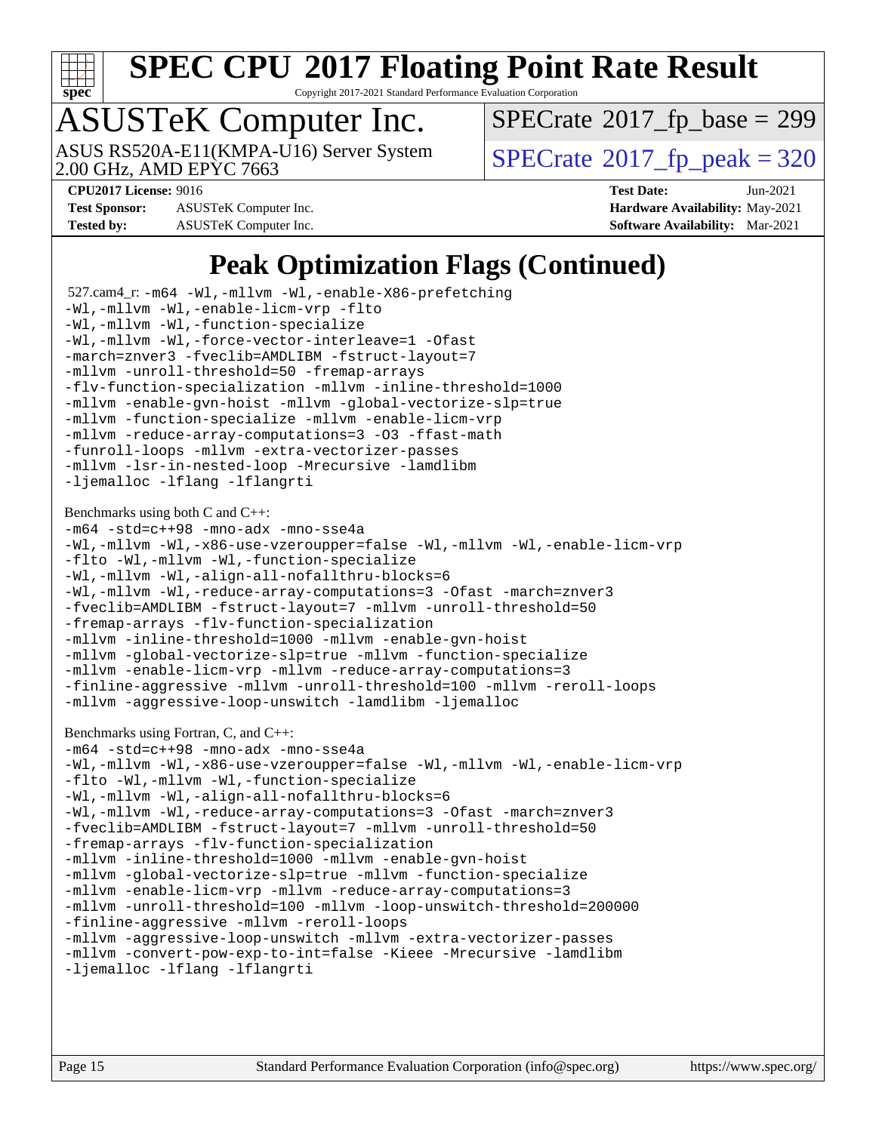

Copyright 2017-2021 Standard Performance Evaluation Corporation

# ASUSTeK Computer Inc.

 $SPECTate$ <sup>®</sup>[2017\\_fp\\_base =](http://www.spec.org/auto/cpu2017/Docs/result-fields.html#SPECrate2017fpbase) 299

2.00 GHz, AMD EPYC 7663

ASUS RS520A-E11(KMPA-U16) Server System  $\vert$  [SPECrate](http://www.spec.org/auto/cpu2017/Docs/result-fields.html#SPECrate2017fppeak)®[2017\\_fp\\_peak = 3](http://www.spec.org/auto/cpu2017/Docs/result-fields.html#SPECrate2017fppeak)20

**[Test Sponsor:](http://www.spec.org/auto/cpu2017/Docs/result-fields.html#TestSponsor)** ASUSTeK Computer Inc. **[Hardware Availability:](http://www.spec.org/auto/cpu2017/Docs/result-fields.html#HardwareAvailability)** May-2021 **[Tested by:](http://www.spec.org/auto/cpu2017/Docs/result-fields.html#Testedby)** ASUSTeK Computer Inc. **[Software Availability:](http://www.spec.org/auto/cpu2017/Docs/result-fields.html#SoftwareAvailability)** Mar-2021

**[CPU2017 License:](http://www.spec.org/auto/cpu2017/Docs/result-fields.html#CPU2017License)** 9016 **[Test Date:](http://www.spec.org/auto/cpu2017/Docs/result-fields.html#TestDate)** Jun-2021

### **[Peak Optimization Flags \(Continued\)](http://www.spec.org/auto/cpu2017/Docs/result-fields.html#PeakOptimizationFlags)**

```
 527.cam4_r: -m64 -Wl,-mllvm -Wl,-enable-X86-prefetching
-Wl,-mllvm -Wl,-enable-licm-vrp -flto
-Wl,-mllvm -Wl,-function-specialize
-Wl,-mllvm -Wl,-force-vector-interleave=1 -Ofast
-march=znver3 -fveclib=AMDLIBM -fstruct-layout=7
-mllvm -unroll-threshold=50 -fremap-arrays
-flv-function-specialization -mllvm -inline-threshold=1000
-mllvm -enable-gvn-hoist -mllvm -global-vectorize-slp=true
-mllvm -function-specialize -mllvm -enable-licm-vrp
-mllvm -reduce-array-computations=3 -O3 -ffast-math
-funroll-loops -mllvm -extra-vectorizer-passes
-mllvm -lsr-in-nested-loop -Mrecursive -lamdlibm
-ljemalloc -lflang -lflangrti
Benchmarks using both C and C++: 
-m64 -std=c++98 -mno-adx -mno-sse4a
-Wl,-mllvm -Wl,-x86-use-vzeroupper=false -Wl,-mllvm -Wl,-enable-licm-vrp
-flto -Wl,-mllvm -Wl,-function-specialize
-Wl,-mllvm -Wl,-align-all-nofallthru-blocks=6
-Wl,-mllvm -Wl,-reduce-array-computations=3 -Ofast -march=znver3
-fveclib=AMDLIBM -fstruct-layout=7 -mllvm -unroll-threshold=50
-fremap-arrays -flv-function-specialization
-mllvm -inline-threshold=1000 -mllvm -enable-gvn-hoist
-mllvm -global-vectorize-slp=true -mllvm -function-specialize
-mllvm -enable-licm-vrp -mllvm -reduce-array-computations=3
-finline-aggressive -mllvm -unroll-threshold=100 -mllvm -reroll-loops
-mllvm -aggressive-loop-unswitch -lamdlibm -ljemalloc
Benchmarks using Fortran, C, and C++: 
-m64 -std=c++98 -mno-adx -mno-sse4a
-Wl,-mllvm -Wl,-x86-use-vzeroupper=false -Wl,-mllvm -Wl,-enable-licm-vrp
-flto -Wl,-mllvm -Wl,-function-specialize
-Wl,-mllvm -Wl,-align-all-nofallthru-blocks=6
-Wl,-mllvm -Wl,-reduce-array-computations=3 -Ofast -march=znver3
-fveclib=AMDLIBM -fstruct-layout=7 -mllvm -unroll-threshold=50
-fremap-arrays -flv-function-specialization
-mllvm -inline-threshold=1000 -mllvm -enable-gvn-hoist
-mllvm -global-vectorize-slp=true -mllvm -function-specialize
-mllvm -enable-licm-vrp -mllvm -reduce-array-computations=3
-mllvm -unroll-threshold=100 -mllvm -loop-unswitch-threshold=200000
-finline-aggressive -mllvm -reroll-loops
-mllvm -aggressive-loop-unswitch -mllvm -extra-vectorizer-passes
-mllvm -convert-pow-exp-to-int=false -Kieee -Mrecursive -lamdlibm
-ljemalloc -lflang -lflangrti
```